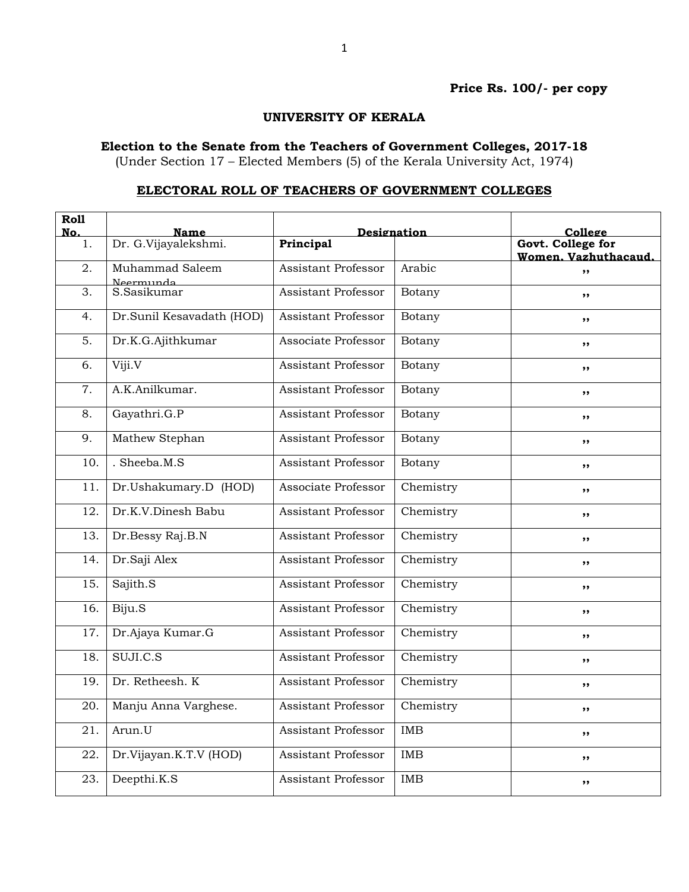## Price Rs. 100/- per copy

## UNIVERSITY OF KERALA

## Election to the Senate from the Teachers of Government Colleges, 2017-18

(Under Section 17 – Elected Members (5) of the Kerala University Act, 1974)

## ELECTORAL ROLL OF TEACHERS OF GOVERNMENT COLLEGES

| <b>Roll</b><br>No. | Name                      | Designation                |            | College                                   |
|--------------------|---------------------------|----------------------------|------------|-------------------------------------------|
| 1.                 | Dr. G.Vijayalekshmi.      | Principal                  |            | Govt. College for<br>Women, Vazhuthacaud. |
| 2.                 | Muhammad Saleem           | <b>Assistant Professor</b> | Arabic     | , ,                                       |
| 3.                 | Neermunda<br>S. Sasikumar | <b>Assistant Professor</b> | Botany     | ,,                                        |
| 4.                 | Dr.Sunil Kesavadath (HOD) | Assistant Professor        | Botany     | ,,                                        |
| 5.                 | Dr.K.G.Ajithkumar         | Associate Professor        | Botany     | ,,                                        |
| 6.                 | Viji.V                    | <b>Assistant Professor</b> | Botany     | ,,                                        |
| 7.                 | A.K.Anilkumar.            | <b>Assistant Professor</b> | Botany     | ,,                                        |
| 8.                 | Gayathri.G.P              | <b>Assistant Professor</b> | Botany     | ,,                                        |
| 9.                 | Mathew Stephan            | <b>Assistant Professor</b> | Botany     | $, \,$                                    |
| 10.                | . Sheeba.M.S              | <b>Assistant Professor</b> | Botany     | ,,                                        |
| 11.                | Dr.Ushakumary.D (HOD)     | Associate Professor        | Chemistry  | , ,                                       |
| 12.                | Dr.K.V.Dinesh Babu        | <b>Assistant Professor</b> | Chemistry  | ,,                                        |
| 13.                | Dr.Bessy Raj.B.N          | <b>Assistant Professor</b> | Chemistry  | ,,                                        |
| 14.                | Dr.Saji Alex              | Assistant Professor        | Chemistry  | ,,                                        |
| 15.                | Sajith.S                  | <b>Assistant Professor</b> | Chemistry  | ,,                                        |
| 16.                | Biju.S                    | <b>Assistant Professor</b> | Chemistry  | ,,                                        |
| 17.                | Dr.Ajaya Kumar.G          | <b>Assistant Professor</b> | Chemistry  | ,,                                        |
| 18.                | SUJI.C.S                  | <b>Assistant Professor</b> | Chemistry  | , ,                                       |
| 19.                | Dr. Retheesh. K           | <b>Assistant Professor</b> | Chemistry  | ,,                                        |
| 20.                | Manju Anna Varghese.      | <b>Assistant Professor</b> | Chemistry  | ,,                                        |
| 21.                | Arun.U                    | <b>Assistant Professor</b> | <b>IMB</b> | ,,                                        |
| 22.                | Dr.Vijayan.K.T.V (HOD)    | <b>Assistant Professor</b> | <b>IMB</b> | ,,                                        |
| 23.                | Deepthi.K.S               | Assistant Professor        | <b>IMB</b> | ,,                                        |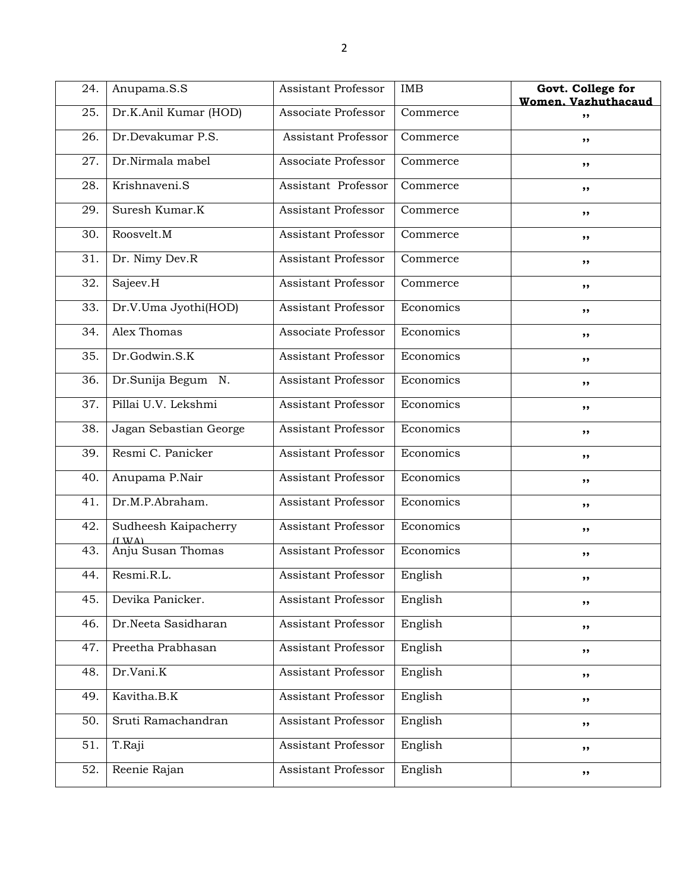| 24. | Anupama.S.S                               | Assistant Professor        | <b>IMB</b> | Govt. College for<br>Women. Vazhuthacaud |
|-----|-------------------------------------------|----------------------------|------------|------------------------------------------|
| 25. | Dr.K.Anil Kumar (HOD)                     | Associate Professor        | Commerce   | ,,                                       |
| 26. | Dr.Devakumar P.S.                         | Assistant Professor        | Commerce   | ,,                                       |
| 27. | Dr.Nirmala mabel                          | Associate Professor        | Commerce   | ,,                                       |
| 28. | Krishnaveni.S                             | Assistant Professor        | Commerce   | ,,                                       |
| 29. | Suresh Kumar.K                            | <b>Assistant Professor</b> | Commerce   | ,,                                       |
| 30. | Roosvelt.M                                | Assistant Professor        | Commerce   | ,,                                       |
| 31. | Dr. Nimy Dev.R                            | Assistant Professor        | Commerce   | ,,                                       |
| 32. | Sajeev. $H$                               | Assistant Professor        | Commerce   | ,,                                       |
| 33. | Dr.V.Uma Jyothi(HOD)                      | <b>Assistant Professor</b> | Economics  | ,,                                       |
| 34. | Alex Thomas                               | Associate Professor        | Economics  | ,,                                       |
| 35. | Dr.Godwin.S.K                             | Assistant Professor        | Economics  | ,,                                       |
| 36. | Dr.Sunija Begum N.                        | Assistant Professor        | Economics  | ,,                                       |
| 37. | Pillai U.V. Lekshmi                       | <b>Assistant Professor</b> | Economics  | ,,                                       |
| 38. | Jagan Sebastian George                    | <b>Assistant Professor</b> | Economics  | ,,                                       |
| 39. | Resmi C. Panicker                         | <b>Assistant Professor</b> | Economics  | ,,                                       |
| 40. | Anupama P.Nair                            | Assistant Professor        | Economics  | ,,                                       |
| 41. | Dr.M.P.Abraham.                           | Assistant Professor        | Economics  | ,,                                       |
| 42. | Sudheesh Kaipacherry<br>$(1 \text{ W A})$ | Assistant Professor        | Economics  | ,,                                       |
| 43. | Anju Susan Thomas                         | <b>Assistant Professor</b> | Economics  | ,,                                       |
| 44. | Resmi.R.L.                                | Assistant Professor        | English    | ,,                                       |
| 45. | Devika Panicker.                          | Assistant Professor        | English    | ,,                                       |
| 46. | Dr.Neeta Sasidharan                       | Assistant Professor        | English    | ,,                                       |
| 47. | Preetha Prabhasan                         | Assistant Professor        | English    | ,,                                       |
| 48. | Dr.Vani.K                                 | Assistant Professor        | English    | ,,                                       |
| 49. | Kavitha.B.K                               | Assistant Professor        | English    | ,,                                       |
| 50. | Sruti Ramachandran                        | Assistant Professor        | English    | ,,                                       |
| 51. | T.Raji                                    | Assistant Professor        | English    | ,,                                       |
| 52. | Reenie Rajan                              | Assistant Professor        | English    | ,,                                       |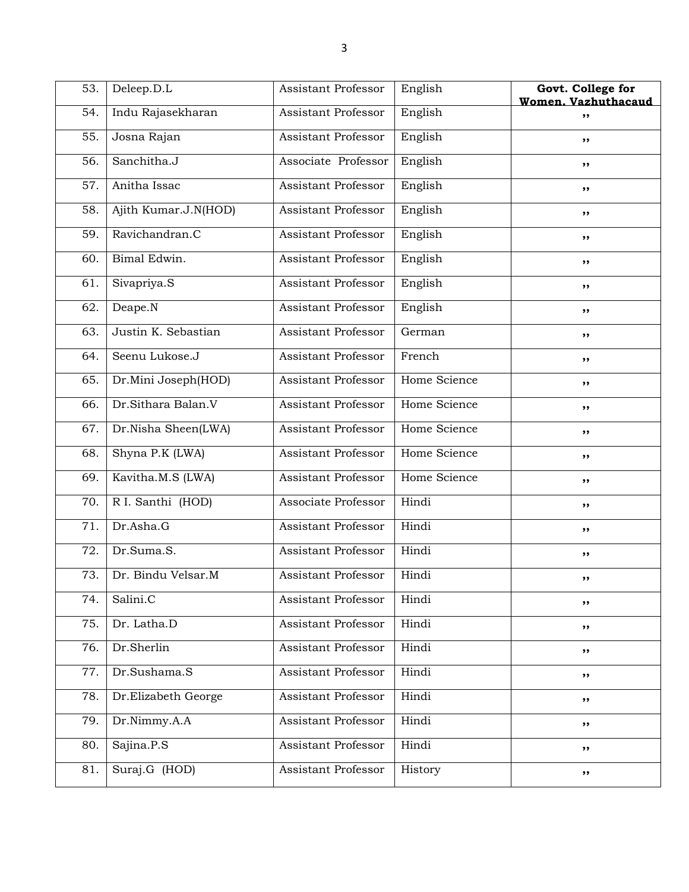| 53. | Deleep.D.L           | Assistant Professor        | English      | Govt. College for<br>Women. Vazhuthacaud |
|-----|----------------------|----------------------------|--------------|------------------------------------------|
| 54. | Indu Rajasekharan    | Assistant Professor        | English      | ,,                                       |
| 55. | Josna Rajan          | Assistant Professor        | English      | ,,                                       |
| 56. | Sanchitha.J          | Associate Professor        | English      | ,,                                       |
| 57. | Anitha Issac         | Assistant Professor        | English      | ,,                                       |
| 58. | Ajith Kumar.J.N(HOD) | Assistant Professor        | English      | ,,                                       |
| 59. | Ravichandran.C       | <b>Assistant Professor</b> | English      | ,,                                       |
| 60. | Bimal Edwin.         | Assistant Professor        | English      | ,,                                       |
| 61. | Sivapriya.S          | Assistant Professor        | English      | ,,                                       |
| 62. | Deape.N              | <b>Assistant Professor</b> | English      | ,,                                       |
| 63. | Justin K. Sebastian  | Assistant Professor        | German       | ,,                                       |
| 64. | Seenu Lukose.J       | <b>Assistant Professor</b> | French       | ,,                                       |
| 65. | Dr.Mini Joseph(HOD)  | Assistant Professor        | Home Science | ,,                                       |
| 66. | Dr.Sithara Balan.V   | Assistant Professor        | Home Science | ,,                                       |
| 67. | Dr.Nisha Sheen(LWA)  | <b>Assistant Professor</b> | Home Science | ,,                                       |
| 68. | Shyna P.K (LWA)      | Assistant Professor        | Home Science | ,,                                       |
| 69. | Kavitha.M.S (LWA)    | Assistant Professor        | Home Science | ,,                                       |
| 70. | R I. Santhi (HOD)    | Associate Professor        | Hindi        | ,,                                       |
| 71. | Dr.Asha.G            | Assistant Professor        | Hindi        | ,,                                       |
| 72. | Dr.Suma.S.           | Assistant Professor        | Hindi        | ,,                                       |
| 73. | Dr. Bindu Velsar.M   | <b>Assistant Professor</b> | Hindi        | ,,                                       |
| 74. | Salini.C             | Assistant Professor        | Hindi        | ,,                                       |
| 75. | Dr. Latha.D          | Assistant Professor        | Hindi        | ,,                                       |
| 76. | Dr.Sherlin           | Assistant Professor        | Hindi        | ,,                                       |
| 77. | Dr.Sushama.S         | Assistant Professor        | Hindi        | ,,                                       |
| 78. | Dr.Elizabeth George  | <b>Assistant Professor</b> | Hindi        | ,,                                       |
| 79. | Dr.Nimmy.A.A         | Assistant Professor        | Hindi        | ,,                                       |
| 80. | Sajina.P.S           | Assistant Professor        | Hindi        | ,,                                       |
| 81. | Suraj.G (HOD)        | Assistant Professor        | History      | ,,                                       |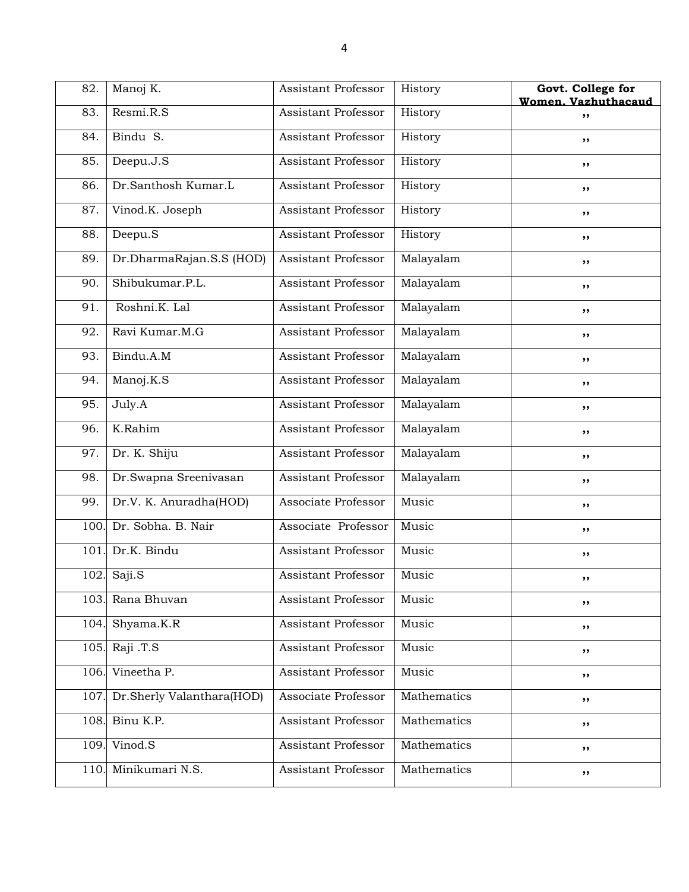| 82.  | Manoj K.                  | Assistant Professor        | History     | Govt. College for<br>Women. Vazhuthacaud |
|------|---------------------------|----------------------------|-------------|------------------------------------------|
| 83.  | Resmi.R.S                 | Assistant Professor        | History     | ,,                                       |
| 84.  | Bindu S.                  | Assistant Professor        | History     | ,,                                       |
| 85.  | Deepu.J.S                 | Assistant Professor        | History     | ,,                                       |
| 86.  | Dr.Santhosh Kumar.L       | <b>Assistant Professor</b> | History     | ,,                                       |
| 87.  | Vinod.K. Joseph           | <b>Assistant Professor</b> | History     | ,,                                       |
| 88.  | Deepu.S                   | Assistant Professor        | History     | ,,                                       |
| 89.  | Dr.DharmaRajan.S.S (HOD)  | Assistant Professor        | Malayalam   | ,,                                       |
| 90.  | Shibukumar.P.L.           | Assistant Professor        | Malayalam   | ,,                                       |
| 91.  | Roshni.K. Lal             | Assistant Professor        | Malayalam   | ,,                                       |
| 92.  | Ravi Kumar.M.G            | Assistant Professor        | Malayalam   | ,,                                       |
| 93.  | Bindu.A.M                 | Assistant Professor        | Malayalam   | ,,                                       |
| 94.  | Manoj.K.S                 | Assistant Professor        | Malayalam   | ,,                                       |
| 95.  | July.A                    | Assistant Professor        | Malayalam   | ,,                                       |
| 96.  | K.Rahim                   | Assistant Professor        | Malayalam   | ,,                                       |
| 97.  | Dr. K. Shiju              | <b>Assistant Professor</b> | Malayalam   | ,,                                       |
| 98.  | Dr.Swapna Sreenivasan     | Assistant Professor        | Malayalam   | ,,                                       |
| 99.  | Dr.V. K. Anuradha(HOD)    | Associate Professor        | Music       | ,,                                       |
| 100. | Dr. Sobha. B. Nair        | Associate Professor        | Music       | ,,                                       |
| 101. | Dr.K. Bindu               | Assistant Professor        | Music       | ,,                                       |
| 102. | Saji.S                    | <b>Assistant Professor</b> | Music       | ,,                                       |
|      | 103. Rana Bhuvan          | Assistant Professor        | Music       | ,,                                       |
| 104. | Shyama.K.R                | Assistant Professor        | Music       | ,,                                       |
| 105. | Raji .T.S                 | Assistant Professor        | Music       | ,,                                       |
| 106. | Vineetha P.               | Assistant Professor        | Music       | ,,                                       |
| 107. | Dr.Sherly Valanthara(HOD) | Associate Professor        | Mathematics | ,,                                       |
| 108. | Binu K.P.                 | Assistant Professor        | Mathematics | ,,                                       |
| 109. | Vinod.S                   | Assistant Professor        | Mathematics | ,,                                       |
| 110. | Minikumari N.S.           | Assistant Professor        | Mathematics | ,,                                       |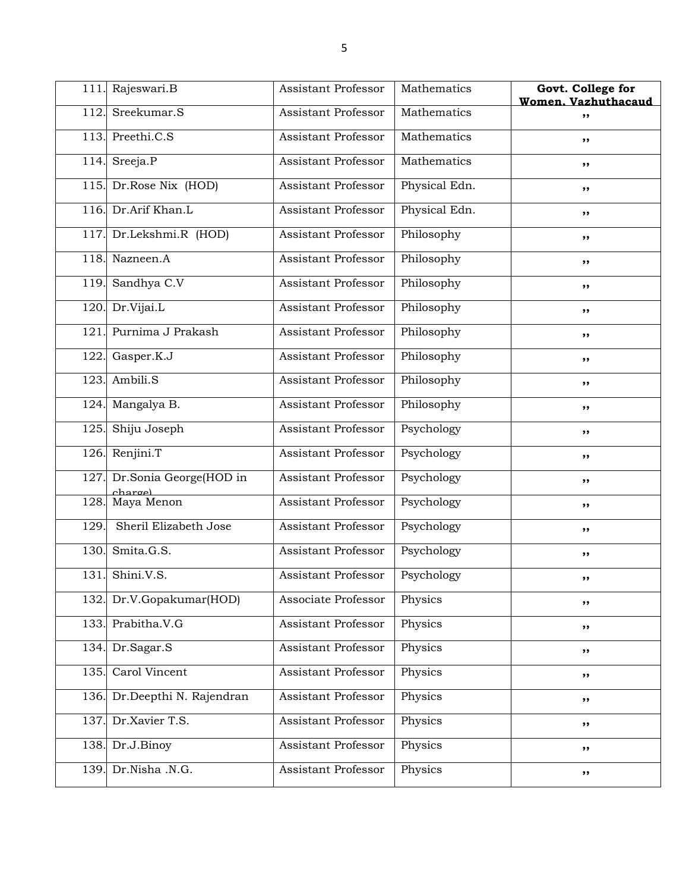| 111. | Rajeswari.B                       | Assistant Professor        | Mathematics   | Govt. College for<br>Women. Vazhuthacaud |
|------|-----------------------------------|----------------------------|---------------|------------------------------------------|
| 112. | Sreekumar.S                       | Assistant Professor        | Mathematics   | ,,                                       |
| 113. | Preethi.C.S                       | Assistant Professor        | Mathematics   | ,,                                       |
| 114. | Sreeja.P                          | Assistant Professor        | Mathematics   | ,,                                       |
| 115. | Dr.Rose Nix (HOD)                 | Assistant Professor        | Physical Edn. | ,,                                       |
| 116. | Dr.Arif Khan.L                    | <b>Assistant Professor</b> | Physical Edn. | ,,                                       |
| 117. | Dr.Lekshmi.R (HOD)                | Assistant Professor        | Philosophy    | ,,                                       |
| 118. | Nazneen.A                         | Assistant Professor        | Philosophy    | ,,                                       |
| 119. | Sandhya C.V                       | Assistant Professor        | Philosophy    | ,,                                       |
| 120. | Dr.Vijai.L                        | Assistant Professor        | Philosophy    | ,,                                       |
| 121  | Purnima J Prakash                 | <b>Assistant Professor</b> | Philosophy    | ,,                                       |
| 122. | Gasper.K.J                        | Assistant Professor        | Philosophy    | ,,                                       |
| 123. | Ambili.S                          | Assistant Professor        | Philosophy    | ,,                                       |
| 124. | Mangalya B.                       | Assistant Professor        | Philosophy    | ,,                                       |
| 125. | Shiju Joseph                      | Assistant Professor        | Psychology    | ,,                                       |
| 126. | Renjini.T                         | Assistant Professor        | Psychology    | ,,                                       |
| 127. | Dr.Sonia George(HOD in<br>chargel | Assistant Professor        | Psychology    | ,,                                       |
| 128. | Maya Menon                        | Assistant Professor        | Psychology    | ,,                                       |
| 129. | Sheril Elizabeth Jose             | Assistant Professor        | Psychology    | ,,                                       |
| 130. | Smita.G.S.                        | Assistant Professor        | Psychology    | ,,                                       |
| 131. | Shini.V.S.                        | Assistant Professor        | Psychology    | ,,                                       |
|      | 132. Dr.V.Gopakumar(HOD)          | Associate Professor        | Physics       | ,,                                       |
| 133. | Prabitha.V.G                      | Assistant Professor        | Physics       | ,,                                       |
| 134. | Dr.Sagar.S                        | Assistant Professor        | Physics       | ,,                                       |
| 135. | Carol Vincent                     | Assistant Professor        | Physics       | ,,                                       |
| 136. | Dr.Deepthi N. Rajendran           | Assistant Professor        | Physics       | ,,                                       |
| 137. | Dr.Xavier T.S.                    | Assistant Professor        | Physics       | ,,                                       |
| 138. | Dr.J.Binoy                        | Assistant Professor        | Physics       | ,,                                       |
| 139. | Dr.Nisha .N.G.                    | Assistant Professor        | Physics       | ,,                                       |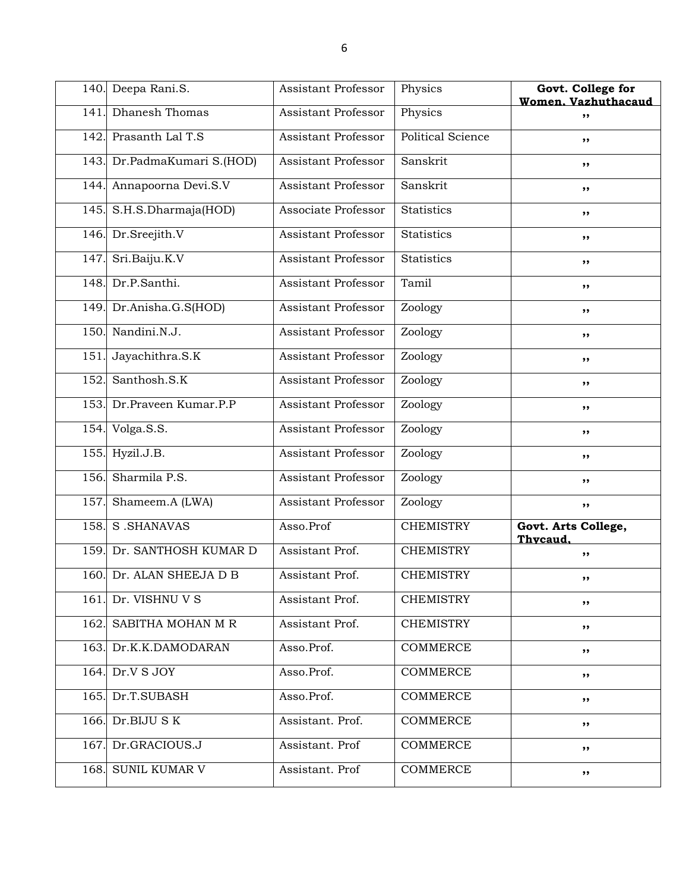|      | 140. Deepa Rani.S.          | Assistant Professor        | Physics                  | Govt. College for<br>Women. Vazhuthacaud |
|------|-----------------------------|----------------------------|--------------------------|------------------------------------------|
| 141. | Dhanesh Thomas              | Assistant Professor        | Physics                  | ,,                                       |
| 142. | Prasanth Lal T.S            | Assistant Professor        | <b>Political Science</b> | ,,                                       |
|      | 143. Dr.PadmaKumari S.(HOD) | <b>Assistant Professor</b> | Sanskrit                 | ,,                                       |
| 144. | Annapoorna Devi.S.V         | Assistant Professor        | Sanskrit                 | ,,                                       |
| 145. | S.H.S.Dharmaja(HOD)         | Associate Professor        | <b>Statistics</b>        | ,,                                       |
|      | 146. Dr. Sreejith. V        | Assistant Professor        | <b>Statistics</b>        | ,,                                       |
| 147  | Sri.Baiju.K.V               | Assistant Professor        | <b>Statistics</b>        | ,,                                       |
| 148. | Dr.P.Santhi.                | <b>Assistant Professor</b> | Tamil                    | ,,                                       |
| 149. | Dr.Anisha.G.S(HOD)          | Assistant Professor        | Zoology                  | ,,                                       |
| 150. | Nandini.N.J.                | <b>Assistant Professor</b> | Zoology                  | ,,                                       |
| 151  | Jayachithra.S.K             | <b>Assistant Professor</b> | Zoology                  | ,,                                       |
| 152. | Santhosh.S.K                | Assistant Professor        | Zoology                  | ,,                                       |
|      | 153. Dr.Praveen Kumar.P.P   | Assistant Professor        | Zoology                  | ,,                                       |
| 154. | Volga.S.S.                  | Assistant Professor        | Zoology                  | ,,                                       |
| 155. | Hyzil.J.B.                  | <b>Assistant Professor</b> | Zoology                  | ,,                                       |
| 156. | Sharmila P.S.               | Assistant Professor        | Zoology                  | ,,                                       |
| 157  | Shameem.A (LWA)             | Assistant Professor        | Zoology                  | ,,                                       |
| 158. | S .SHANAVAS                 | Asso.Prof                  | <b>CHEMISTRY</b>         | Govt. Arts College,<br>Thycaud.          |
| 159. | Dr. SANTHOSH KUMAR D        | Assistant Prof.            | <b>CHEMISTRY</b>         | ,,                                       |
|      | 160. Dr. ALAN SHEEJA D B    | Assistant Prof.            | <b>CHEMISTRY</b>         | ,,                                       |
| 161. | Dr. VISHNU V S              | Assistant Prof.            | <b>CHEMISTRY</b>         | ,,                                       |
| 162. | SABITHA MOHAN M R           | Assistant Prof.            | <b>CHEMISTRY</b>         | ,,                                       |
|      | 163. Dr.K.K.DAMODARAN       | Asso.Prof.                 | COMMERCE                 | ,,                                       |
|      | 164. Dr.V S JOY             | Asso.Prof.                 | <b>COMMERCE</b>          | ,,                                       |
|      | 165. Dr.T.SUBASH            | Asso.Prof.                 | COMMERCE                 | ,,                                       |
|      | 166. Dr.BIJU S K            | Assistant. Prof.           | COMMERCE                 | ,,                                       |
| 167  | Dr.GRACIOUS.J               | Assistant. Prof            | COMMERCE                 | ,,                                       |
|      | 168. SUNIL KUMAR V          | Assistant. Prof            | <b>COMMERCE</b>          | ,,                                       |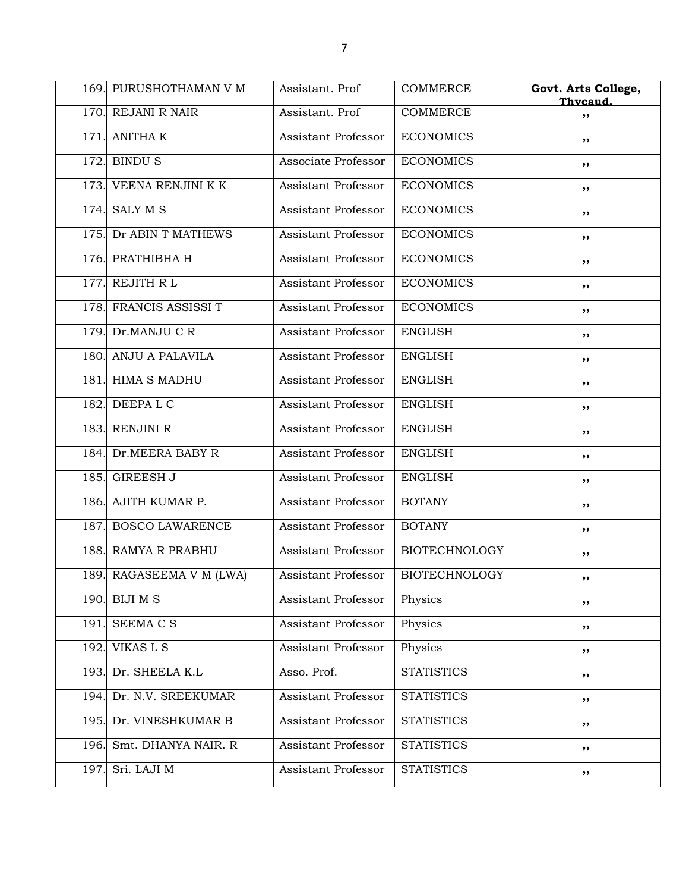|      | 169. PURUSHOTHAMAN V M   | Assistant. Prof            | <b>COMMERCE</b>      | Govt. Arts College,<br>Thycaud. |
|------|--------------------------|----------------------------|----------------------|---------------------------------|
|      | 170. REJANI R NAIR       | Assistant. Prof            | <b>COMMERCE</b>      | ,,                              |
| 171. | <b>ANITHA K</b>          | Assistant Professor        | <b>ECONOMICS</b>     | ,,                              |
| 172. | <b>BINDUS</b>            | Associate Professor        | <b>ECONOMICS</b>     | ,,                              |
| 173. | VEENA RENJINI K K        | Assistant Professor        | <b>ECONOMICS</b>     | ,,                              |
| 174. | <b>SALY M S</b>          | <b>Assistant Professor</b> | <b>ECONOMICS</b>     | ,,                              |
|      | 175. Dr ABIN T MATHEWS   | <b>Assistant Professor</b> | <b>ECONOMICS</b>     | ,,                              |
| 176. | PRATHIBHA H              | Assistant Professor        | <b>ECONOMICS</b>     | ,,                              |
| 177. | REJITH R L               | <b>Assistant Professor</b> | <b>ECONOMICS</b>     | ,,                              |
| 178. | FRANCIS ASSISSI T        | <b>Assistant Professor</b> | <b>ECONOMICS</b>     | ,,                              |
| 179. | Dr.MANJU C R             | <b>Assistant Professor</b> | <b>ENGLISH</b>       | ,,                              |
|      | 180. ANJU A PALAVILA     | <b>Assistant Professor</b> | <b>ENGLISH</b>       | ,,                              |
| 181. | <b>HIMA S MADHU</b>      | Assistant Professor        | <b>ENGLISH</b>       | ,,                              |
| 182. | DEEPA L C                | <b>Assistant Professor</b> | <b>ENGLISH</b>       | ,,                              |
| 183. | RENJINI R                | <b>Assistant Professor</b> | <b>ENGLISH</b>       | ,,                              |
| 184. | Dr.MEERA BABY R          | Assistant Professor        | <b>ENGLISH</b>       | ,,                              |
| 185. | <b>GIREESH J</b>         | Assistant Professor        | <b>ENGLISH</b>       | ,,                              |
| 186. | AJITH KUMAR P.           | Assistant Professor        | <b>BOTANY</b>        | ,,                              |
| 187. | <b>BOSCO LAWARENCE</b>   | Assistant Professor        | <b>BOTANY</b>        | ,,                              |
| 188. | <b>RAMYA R PRABHU</b>    | <b>Assistant Professor</b> | <b>BIOTECHNOLOGY</b> | ,,                              |
|      | 189. RAGASEEMA V M (LWA) | Assistant Professor        | <b>BIOTECHNOLOGY</b> | ,,                              |
| 190. | <b>BIJI M S</b>          | <b>Assistant Professor</b> | Physics              | ,,                              |
| 191. | <b>SEEMA C S</b>         | Assistant Professor        | Physics              | ,,                              |
| 192. | VIKAS L S                | Assistant Professor        | Physics              | ,,                              |
| 193. | Dr. SHEELA K.L           | Asso. Prof.                | <b>STATISTICS</b>    | ,,                              |
| 194. | Dr. N.V. SREEKUMAR       | <b>Assistant Professor</b> | <b>STATISTICS</b>    | ,,                              |
|      | 195. Dr. VINESHKUMAR B   | <b>Assistant Professor</b> | <b>STATISTICS</b>    | ,,                              |
| 196. | Smt. DHANYA NAIR. R      | Assistant Professor        | <b>STATISTICS</b>    | ,,                              |
| 197. | Sri. LAJI M              | Assistant Professor        | <b>STATISTICS</b>    | ,,                              |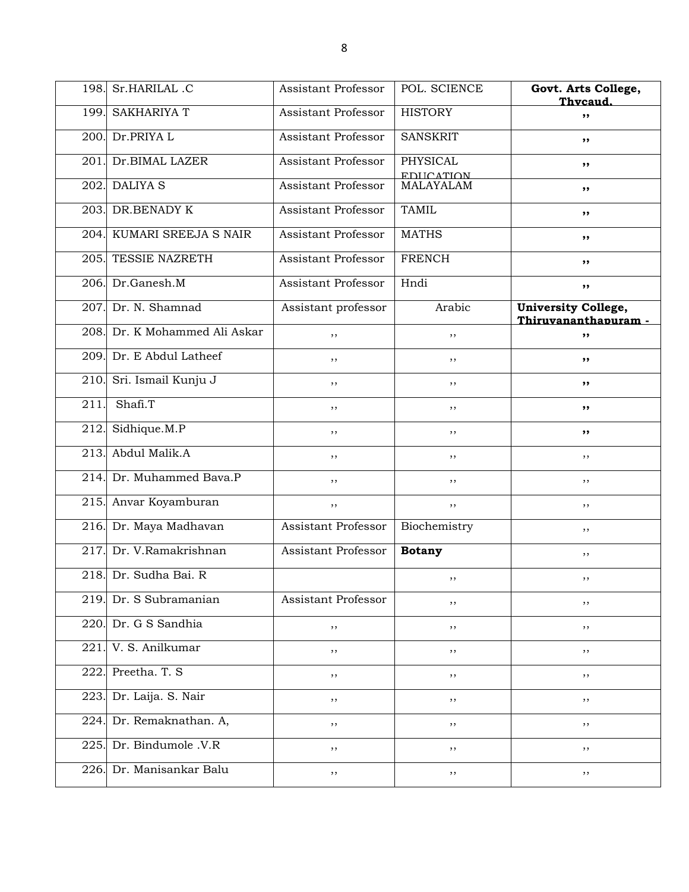| 198. | Sr.HARILAL.C                  | Assistant Professor        | POL. SCIENCE                   | Govt. Arts College,<br>Thycaud.             |
|------|-------------------------------|----------------------------|--------------------------------|---------------------------------------------|
| 199. | <b>SAKHARIYA T</b>            | Assistant Professor        | <b>HISTORY</b>                 | ,,                                          |
| 200. | Dr.PRIYA L                    | Assistant Professor        | <b>SANSKRIT</b>                | ,,                                          |
| 201. | Dr.BIMAL LAZER                | Assistant Professor        | PHYSICAL                       | ,,                                          |
| 202. | <b>DALIYA S</b>               | Assistant Professor        | <b>EDIICATION</b><br>MALAYALAM | ,,                                          |
|      | 203. DR.BENADY K              | <b>Assistant Professor</b> | <b>TAMIL</b>                   | ,,                                          |
|      | 204. KUMARI SREEJA S NAIR     | <b>Assistant Professor</b> | <b>MATHS</b>                   | ,,                                          |
| 205. | TESSIE NAZRETH                | Assistant Professor        | <b>FRENCH</b>                  | ,,                                          |
|      | 206. Dr.Ganesh.M              | Assistant Professor        | Hndi                           | ,,                                          |
| 207. | Dr. N. Shamnad                | Assistant professor        | Arabic                         | University College,<br>Thiruvananthapuram - |
|      | 208. Dr. K Mohammed Ali Askar | ,,                         | ,,                             | ,,                                          |
|      | 209. Dr. E Abdul Latheef      | ,,                         | , ,                            | ,,                                          |
| 210. | Sri. Ismail Kunju J           | ,,                         | , ,                            | ,,                                          |
| 211. | Shafi.T                       | ,,                         | ,,                             | ,,                                          |
| 212. | Sidhique.M.P                  | ,,                         | $, \,$                         | ,,                                          |
| 213. | Abdul Malik.A                 | , ,                        | ,,                             | ,,                                          |
|      | 214. Dr. Muhammed Bava.P      | ,,                         | ,,                             | ,,                                          |
|      | 215. Anvar Koyamburan         | ,,                         | ,,                             | ,,                                          |
|      | 216. Dr. Maya Madhavan        | <b>Assistant Professor</b> | Biochemistry                   | ,,                                          |
| 217. | Dr. V.Ramakrishnan            | <b>Assistant Professor</b> | <b>Botany</b>                  | ,,                                          |
|      | 218. Dr. Sudha Bai. R         |                            | ,,                             | ,,                                          |
| 219. | Dr. S Subramanian             | Assistant Professor        | ,,                             | ,,                                          |
| 220. | Dr. G S Sandhia               | ,,                         | , ,                            | $, \,$                                      |
| 221. | V. S. Anilkumar               | ,,                         | ,,                             | ,,                                          |
| 222. | Preetha. T. S                 | ,,                         | ,,                             | ,,                                          |
| 223. | Dr. Laija. S. Nair            | ,,                         | ,,                             | ,,                                          |
| 224. | Dr. Remaknathan. A,           | ,,                         | ,,                             | ,,                                          |
| 225  | Dr. Bindumole .V.R            | ,,                         | ,,                             | ,,                                          |
| 226. | Dr. Manisankar Balu           | ,,                         | ,,                             | $, \,$                                      |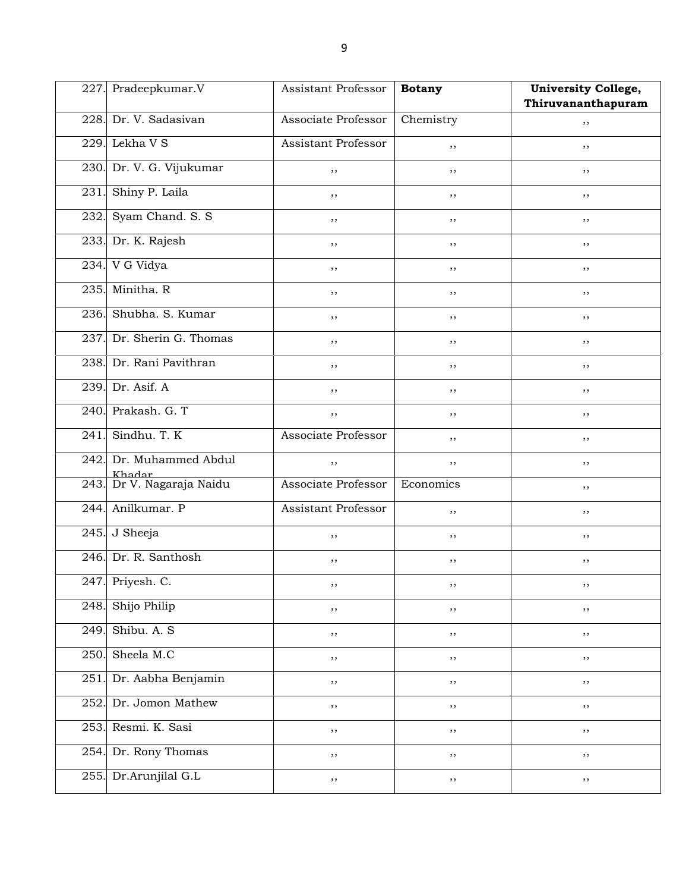| 227. | Pradeepkumar.V                        | <b>Assistant Professor</b> | <b>Botany</b> | <b>University College,</b> |
|------|---------------------------------------|----------------------------|---------------|----------------------------|
|      |                                       |                            |               | Thiruvananthapuram         |
|      | 228. Dr. V. Sadasivan                 | Associate Professor        | Chemistry     | ,,                         |
| 229. | Lekha V S                             | <b>Assistant Professor</b> | ,,            | ,,                         |
|      | 230. Dr. V. G. Vijukumar              | ,,                         | ,,            | ,,                         |
| 231. | Shiny P. Laila                        | ,,                         | ,,            | ,,                         |
| 232. | Syam Chand. S. S.                     | ,,                         | $, \,$        | ,,                         |
|      | 233. Dr. K. Rajesh                    | ,,                         | ,,            | ,,                         |
|      | 234. V G Vidya                        | ,,                         | ,,            | ,,                         |
|      | 235. Minitha. R                       | ,,                         | , ,           | ,,                         |
|      | 236. Shubha. S. Kumar                 | ,,                         | ,,            | ,,                         |
| 237. | Dr. Sherin G. Thomas                  | ,,                         | $, \,$        | ,,                         |
|      | 238. Dr. Rani Pavithran               | ,,                         | ,,            | ,,                         |
| 239. | Dr. Asif. A                           | ,,                         | ,,            | ,,                         |
|      | 240. Prakash. G. T                    | ,,                         | $, \,$        | , ,                        |
| 241. | Sindhu. T. K                          | Associate Professor        | ,,            | ,,                         |
| 242. | Dr. Muhammed Abdul                    | , ,                        | $, \,$        | ,,                         |
|      | Khadar<br>  243. Dr V. Nagaraja Naidu | Associate Professor        | Economics     | ,,                         |
| 244. | Anilkumar. P                          | <b>Assistant Professor</b> | ,,            | ,,                         |
|      | 245. J Sheeja                         | ,,                         | , ,           | , ,                        |
|      | 246. Dr. R. Santhosh                  | ,,                         | , ,           | ,,                         |
|      | 247. Priyesh. C.                      |                            |               |                            |
| 248. | Shijo Philip                          | ,,                         | ,,            | , ,                        |
| 249  | Shibu. A. S                           | ,,                         | $, \,$        | , ,                        |
| 250. | Sheela M.C                            | ,,                         | $, \,$        | $, \,$                     |
| 251  | Dr. Aabha Benjamin                    | ,,                         | $, \,$        | $, \,$                     |
| 252  | Dr. Jomon Mathew                      | ,,                         | $, \,$        | $, \,$                     |
| 253. | Resmi. K. Sasi                        | ,,                         | ,,            | , ,                        |
| 254. | Dr. Rony Thomas                       | ,,                         | $, \,$        | , ,                        |
| 255. | Dr.Arunjilal G.L                      | ,,                         | ,,            | $, \,$                     |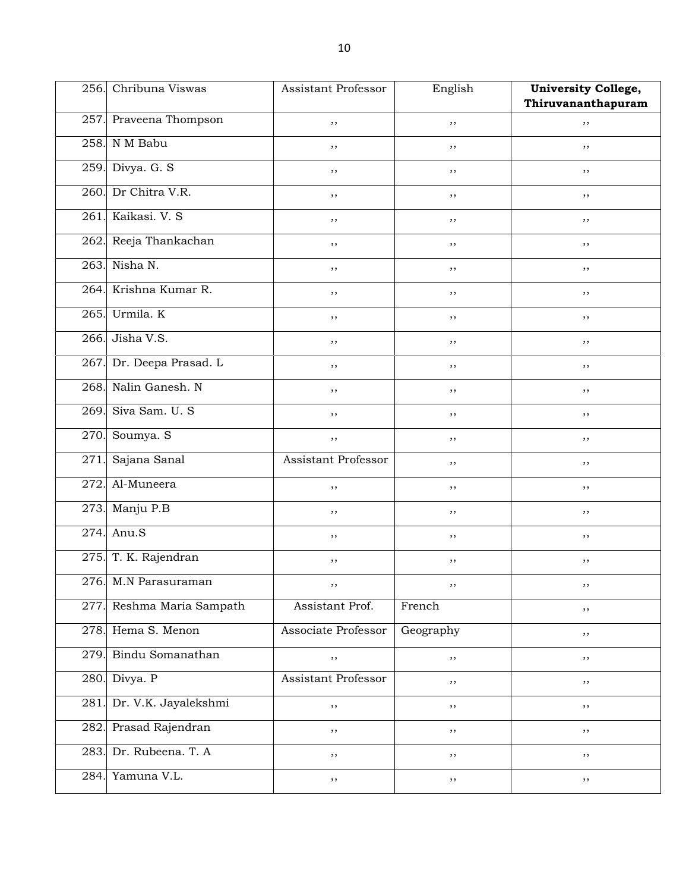|      | 256. Chribuna Viswas   | Assistant Professor | English   | <b>University College,</b> |
|------|------------------------|---------------------|-----------|----------------------------|
|      |                        |                     |           | Thiruvananthapuram         |
|      | 257. Praveena Thompson | ,,                  | $, \,$    | ,,                         |
| 258. | N M Babu               | ,,                  | , ,       | ,,                         |
| 259. | Divya. G. S            | ,,                  | , ,       | ,,                         |
| 260. | Dr Chitra V.R.         | ,,                  | ,,        | ,,                         |
| 261. | Kaikasi, V. S.         | ,,                  | $, \,$    | , ,                        |
|      | 262. Reeja Thankachan  | ,,                  | ,,        | ,,                         |
| 263. | Nisha N.               | ,,                  | $, \,$    | ,,                         |
| 264. | Krishna Kumar R.       | ,,                  | $, \,$    | , ,                        |
| 265. | Urmila. K              | ,,                  | ,,        | ,,                         |
| 266. | Jisha V.S.             | ,,                  | $, \,$    | , ,                        |
| 267. | Dr. Deepa Prasad. L    | ,,                  | ,,        | ,,                         |
| 268. | Nalin Ganesh. N        | ,,                  | $, \,$    | ,,                         |
| 269. | Siva Sam. U. S.        | ,,                  | $, \,$    | , ,                        |
| 270. | Soumya. S              | , ,                 | ,,        | ,,                         |
| 271. | Sajana Sanal           | Assistant Professor | $, \,$    | , ,                        |
| 272. | Al-Muneera             | ,,                  | ,,        | ,,                         |
| 273. | Manju P.B              | ,,                  | $, \,$    | ,,                         |
| 274. | Anu.S                  | ,,                  | $, \,$    | , ,                        |
|      | 275. T. K. Rajendran   | ,,                  | ,,        | ,,                         |
|      | 276. M.N Parasuraman   |                     |           |                            |
| 277. | Reshma Maria Sampath   | Assistant Prof.     | French    | , ,                        |
| 278. | Hema S. Menon          | Associate Professor | Geography | , ,                        |
| 279. | Bindu Somanathan       | ,,                  | $, \,$    | $, \,$                     |
| 280. | Divya. P               | Assistant Professor | , ,       | , ,                        |
| 281  | Dr. V.K. Jayalekshmi   | $, \,$              | $, \,$    | , ,                        |
| 282. | Prasad Rajendran       | ,,                  | ,,        | ,,                         |
| 283. | Dr. Rubeena. T. A      | , ,                 | $, \,$    | , ,                        |
| 284. | Yamuna V.L.            | ,,                  | $, \,$    | $, \,$                     |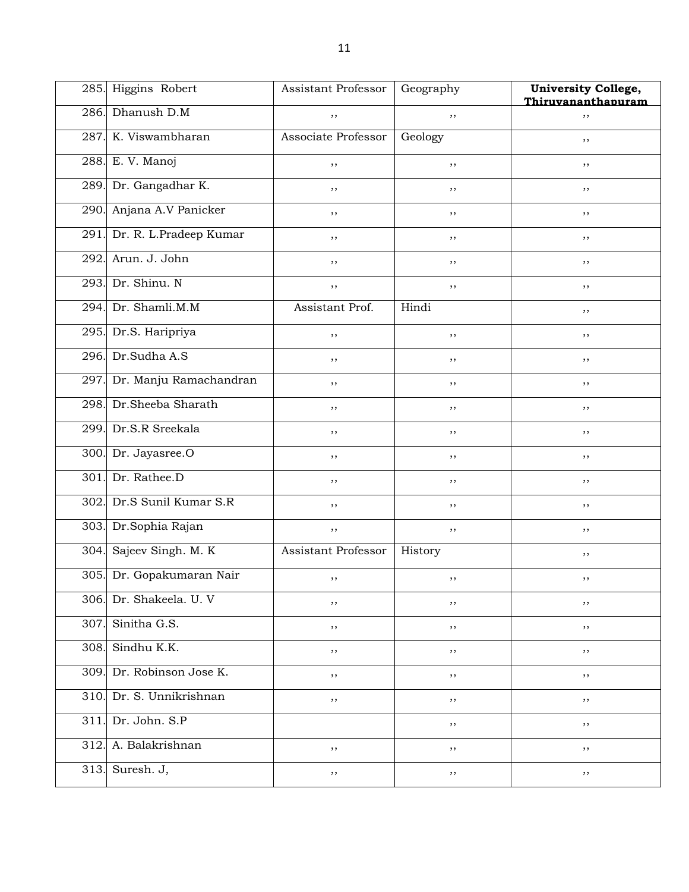|      | 285. Higgins Robert         | <b>Assistant Professor</b> | Geography | University College,<br>Thiruvananthapuram |
|------|-----------------------------|----------------------------|-----------|-------------------------------------------|
|      | 286. Dhanush D.M            | ,,                         | ,,        | ,,                                        |
| 287. | K. Viswambharan             | Associate Professor        | Geology   | ,,                                        |
|      | 288. E. V. Manoj            | ,,                         | ,,        | ,,                                        |
| 289. | Dr. Gangadhar K.            | ,,                         | $, \,$    | $, \,$                                    |
| 290. | Anjana A.V Panicker         | ,,                         | ,,        | ,,                                        |
|      | 291. Dr. R. L.Pradeep Kumar | ,,                         | ,,        | $, \,$                                    |
| 292. | Arun. J. John               | ,,                         | $, \,$    | $, \,$                                    |
| 293. | Dr. Shinu. N                | ,,                         | $, \,$    | ,,                                        |
| 294. | Dr. Shamli.M.M              | Assistant Prof.            | Hindi     | $, \,$                                    |
|      | 295. Dr.S. Haripriya        | , ,                        | $, \,$    | , ,                                       |
| 296. | Dr.Sudha A.S                | ,,                         | ,,        | $, \,$                                    |
| 297. | Dr. Manju Ramachandran      | ,,                         | $, \,$    | $, \,$                                    |
| 298. | Dr.Sheeba Sharath           | ,,                         | ,,        | ,,                                        |
| 299. | Dr.S.R Sreekala             | ,,                         | $, \,$    | $, \,$                                    |
| 300. | Dr. Jayasree.O              | ,,                         | $, \,$    | ,,                                        |
| 301. | Dr. Rathee.D                | ,,                         | $, \,$    | $, \,$                                    |
| 302. | Dr.S Sunil Kumar S.R        | ,,                         | $, \,$    | $, \,$                                    |
|      | 303. Dr.Sophia Rajan        | ,,                         | ,,        | ,,                                        |
| 304. | Sajeev Singh. M. K          | Assistant Professor        | History   | , ,                                       |
|      | 305. Dr. Gopakumaran Nair   | ,,                         | ,,        | , ,                                       |
| 306. | Dr. Shakeela. U. V          | ,,                         | ,,        | ,,                                        |
| 307  | Sinitha G.S.                | ,,                         | ,,        | ,,                                        |
| 308. | Sindhu K.K.                 | ,,                         | ,,        | ,,                                        |
| 309. | Dr. Robinson Jose K.        | ,,                         | ,,        | , ,                                       |
| 310. | Dr. S. Unnikrishnan         | ,,                         | ,,        | , ,                                       |
| 311  | Dr. John. S.P               |                            | ,,        | $, \,$                                    |
| 312  | A. Balakrishnan             | ,,                         | ,,        | ,,                                        |
| 313. | Suresh. J,                  | ,,                         | ,,        | $, \,$                                    |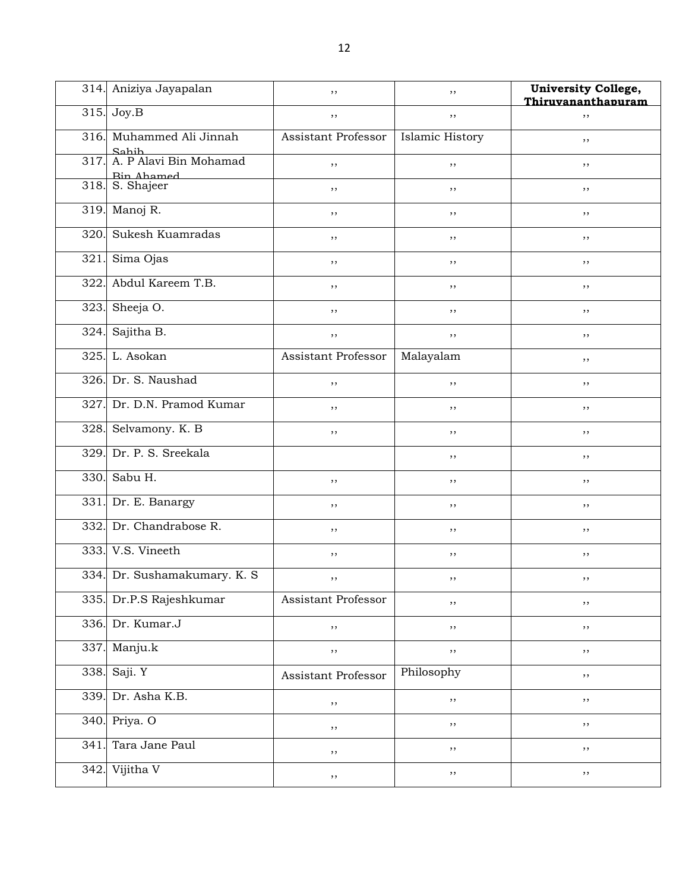|                   | 314. Aniziya Jayapalan          | ,,                  | ,,              | <b>University College,</b><br>Thiruvananthapuram |
|-------------------|---------------------------------|---------------------|-----------------|--------------------------------------------------|
| 315.              | Joy.B                           | ,,                  | $, \,$          | , ,                                              |
| 316.              | Muhammed Ali Jinnah             | Assistant Professor | Islamic History | ,,                                               |
| 317.              | Sahih<br>A. P Alavi Bin Mohamad | ,,                  | , ,             | ,,                                               |
| 318.              | <b>Rin Ahamed</b><br>S. Shajeer | ,,                  | ,,              | ,,                                               |
| $\overline{3}19.$ | Manoj R.                        | ,,                  | ,,              | ,,                                               |
| 320.              | Sukesh Kuamradas                | ,,                  | ,,              | ,,                                               |
| 321               | Sima Ojas                       | ,,                  | , ,             | ,,                                               |
| 322.              | Abdul Kareem T.B.               | ,,                  | , ,             | ,,                                               |
| 323.              | Sheeja O.                       | ,,                  | ,,              | ,,                                               |
| 324.              | Sajitha B.                      | ,,                  | ,,              | ,,                                               |
| 325.              | L. Asokan                       | Assistant Professor | Malayalam       | ,,                                               |
| 326.              | Dr. S. Naushad                  | ,,                  | , ,             | ,,                                               |
| 327.              | Dr. D.N. Pramod Kumar           | ,,                  | , ,             | ,,                                               |
| 328.              | Selvamony. K. B                 | ,,                  | ,,              | ,,                                               |
| 329.              | Dr. P. S. Sreekala              |                     | ,,              | ,,                                               |
| 330.              | Sabu H.                         | , ,                 | ,,              | ,,                                               |
| 331.              | Dr. E. Banargy                  | ,,                  | , ,             | ,,                                               |
| 332.              | Dr. Chandrabose R.              | ,,                  | , ,             | ,,                                               |
|                   | 333. V.S. Vineeth               | ,,                  | ,,              | ,,                                               |
|                   | 334. Dr. Sushamakumary. K. S.   | , ,                 | , ,             | ,,                                               |
| 335.              | Dr.P.S Rajeshkumar              | Assistant Professor | ,,              | $, \,$                                           |
| 336.              | Dr. Kumar.J                     | ,,                  | ,,              | $, \,$                                           |
| 337.              | Manju.k                         | ,,                  | ,,              | $, \,$                                           |
| 338.              | Saji. Y                         | Assistant Professor | Philosophy      | $, \,$                                           |
| 339.              | Dr. Asha K.B.                   | ,,                  | ,,              | $, \,$                                           |
| 340.              | Priya. O                        | ,,                  | ,,              | $, \,$                                           |
| 341               | Tara Jane Paul                  | ,,                  | ,,              | $, \,$                                           |
| 342.              | Vijitha V                       | ,,                  | , ,             | $, \,$                                           |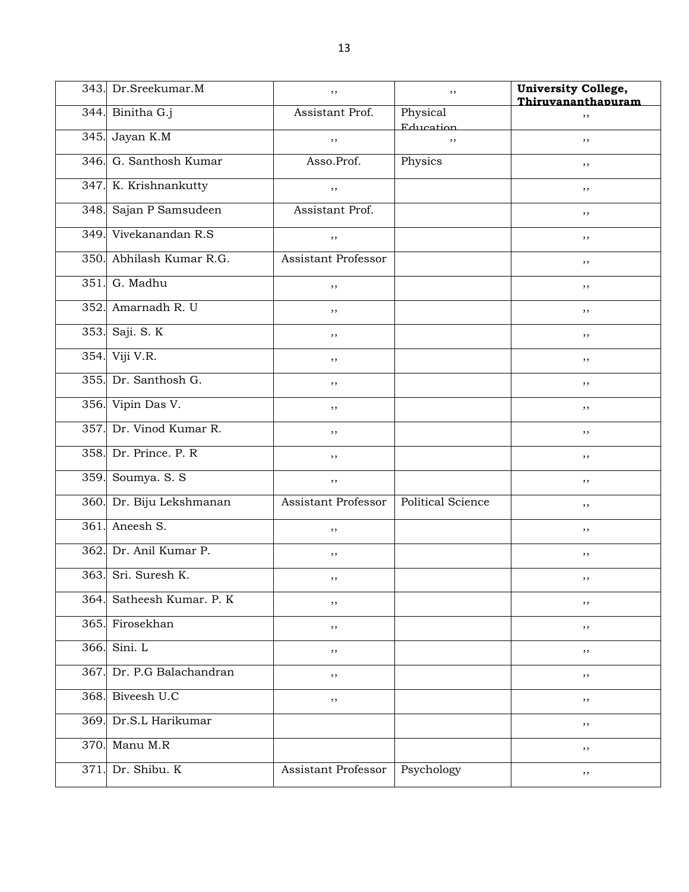|      | 343. Dr. Sreekumar. M     | $, \,$                     | $, \,$                   | <b>University College,</b><br>Thiruvananthapuram |
|------|---------------------------|----------------------------|--------------------------|--------------------------------------------------|
|      | 344. Binitha G.j          | Assistant Prof.            | Physical<br>Education    | ,,                                               |
| 345. | Jayan K.M                 | $, \,$                     | $, \,$                   | $, \,$                                           |
|      | 346. G. Santhosh Kumar    | Asso.Prof.                 | Physics                  | ,,                                               |
|      | 347. K. Krishnankutty     | ,,                         |                          | ,,                                               |
|      | 348. Sajan P Samsudeen    | Assistant Prof.            |                          | ,,                                               |
|      | 349. Vivekanandan R.S.    | ,,                         |                          | ,,                                               |
|      | 350. Abhilash Kumar R.G.  | <b>Assistant Professor</b> |                          | $, \,$                                           |
| 351. | G. Madhu                  | ,,                         |                          | ,,                                               |
| 352. | Amarnadh R. U             | , ,                        |                          | ,,                                               |
|      | 353. Saji. S. K           | ,,                         |                          | ,,                                               |
| 354. | Viji V.R.                 | ,,                         |                          | ,,                                               |
|      | 355. Dr. Santhosh G.      | $, \,$                     |                          | ,,                                               |
|      | 356. Vipin Das V.         | ,,                         |                          | ,,                                               |
| 357. | Dr. Vinod Kumar R.        | ,,                         |                          | ,,                                               |
|      | 358. Dr. Prince. P. R.    | ,,                         |                          | ,,                                               |
| 359. | Soumya. S. S              | ,,                         |                          | ,,                                               |
|      | 360. Dr. Biju Lekshmanan  | <b>Assistant Professor</b> | <b>Political Science</b> | ,,                                               |
| 361. | Aneesh S.                 | ,,                         |                          | ,,                                               |
| 362. | Dr. Anil Kumar P.         | $, \,$                     |                          | ,,                                               |
|      | 363. Sri. Suresh K.       | ,,                         |                          | ,,                                               |
|      | 364. Satheesh Kumar. P. K | , ,                        |                          | ,,                                               |
|      | 365. Firosekhan           | , ,                        |                          | $, \,$                                           |
|      | 366. Sini. L              | ,,                         |                          | ,,                                               |
|      | 367. Dr. P.G Balachandran | , ,                        |                          | $, \,$                                           |
|      | 368. Biveesh U.C          | ,,                         |                          | $, \,$                                           |
|      | 369. Dr.S.L Harikumar     |                            |                          | ,,                                               |
|      | 370. Manu M.R             |                            |                          | $, \,$                                           |
|      | 371. Dr. Shibu. K         | Assistant Professor        | Psychology               | $, \,$                                           |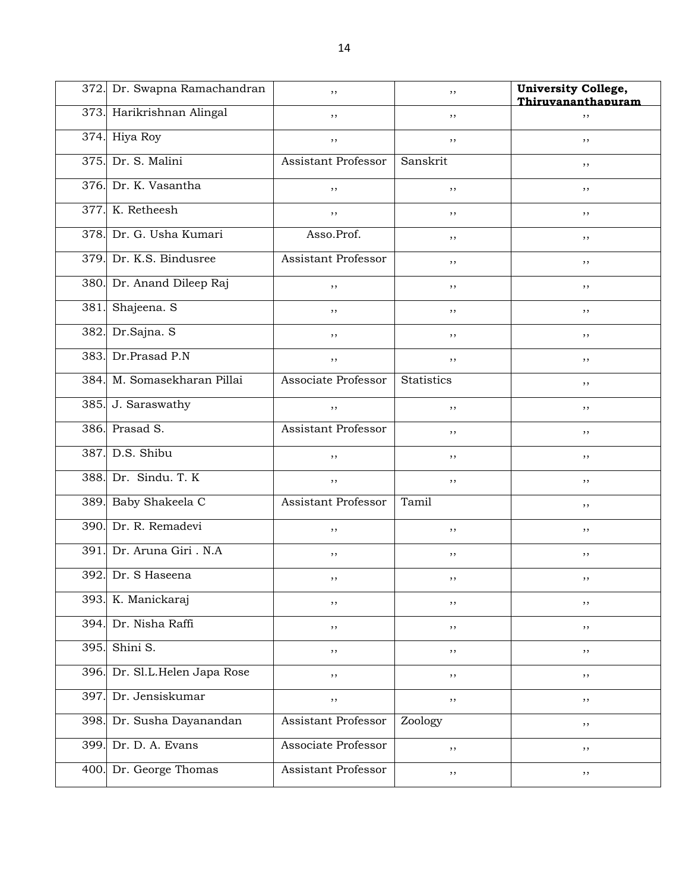|      | 372. Dr. Swapna Ramachandran | ,,                  | ,,         | University College,<br>Thiruvananthapuram |
|------|------------------------------|---------------------|------------|-------------------------------------------|
|      | 373. Harikrishnan Alingal    | ,,                  | ,,         | ,,                                        |
|      | 374. Hiya Roy                | ,,                  | ,,         | ,,                                        |
| 375. | Dr. S. Malini                | Assistant Professor | Sanskrit   | ,,                                        |
|      | 376. Dr. K. Vasantha         | , ,                 | $, \,$     | ,,                                        |
| 377. | K. Retheesh                  | ,,                  | ,,         | ,,                                        |
|      | 378. Dr. G. Usha Kumari      | Asso.Prof.          | ,,         | ,,                                        |
| 379. | Dr. K.S. Bindusree           | Assistant Professor | , ,        | ,,                                        |
|      | 380. Dr. Anand Dileep Raj    | ,,                  | ,,         | ,,                                        |
| 381. | Shajeena. S                  | ,,                  | $, \,$     | , ,                                       |
| 382. | Dr.Sajna. S                  | ,,                  | ,,         | ,,                                        |
| 383. | Dr.Prasad P.N                | ,,                  | ,,         | ,,                                        |
| 384. | M. Somasekharan Pillai       | Associate Professor | Statistics | ,,                                        |
|      | 385. J. Saraswathy           | , ,                 | ,,         | ,,                                        |
|      | 386. Prasad S.               | Assistant Professor | $, \,$     | ,,                                        |
| 387. | D.S. Shibu                   | ,,                  | $, \,$     | ,,                                        |
| 388. | Dr. Sindu. T. K              | ,,                  | ,,         | ,,                                        |
|      | 389. Baby Shakeela C         | Assistant Professor | Tamil      | ,,                                        |
|      | 390. Dr. R. Remadevi         | ,,                  | ,,         | ,,                                        |
| 391. | Dr. Aruna Giri . N.A         | ,,                  | ,,         | , ,                                       |
|      | 392. Dr. S Haseena           | ,,                  | ,,         | , ,                                       |
|      | 393. K. Manickaraj           | ,,                  | ,,         | , ,                                       |
| 394. | Dr. Nisha Raffi              | ,,                  | $, \, ,$   | , ,                                       |
| 395. | Shini S.                     | ,,                  | , ,        | , ,                                       |
| 396. | Dr. Sl.L.Helen Japa Rose     | ,,                  | $, \,$     | , ,                                       |
| 397. | Dr. Jensiskumar              | , ,                 | $, \,$     | $, \,$                                    |
| 398. | Dr. Susha Dayanandan         | Assistant Professor | Zoology    | $, \,$                                    |
| 399. | Dr. D. A. Evans              | Associate Professor | $, \, ,$   | $, \,$                                    |
|      | 400. Dr. George Thomas       | Assistant Professor | ,,         | $, \,$                                    |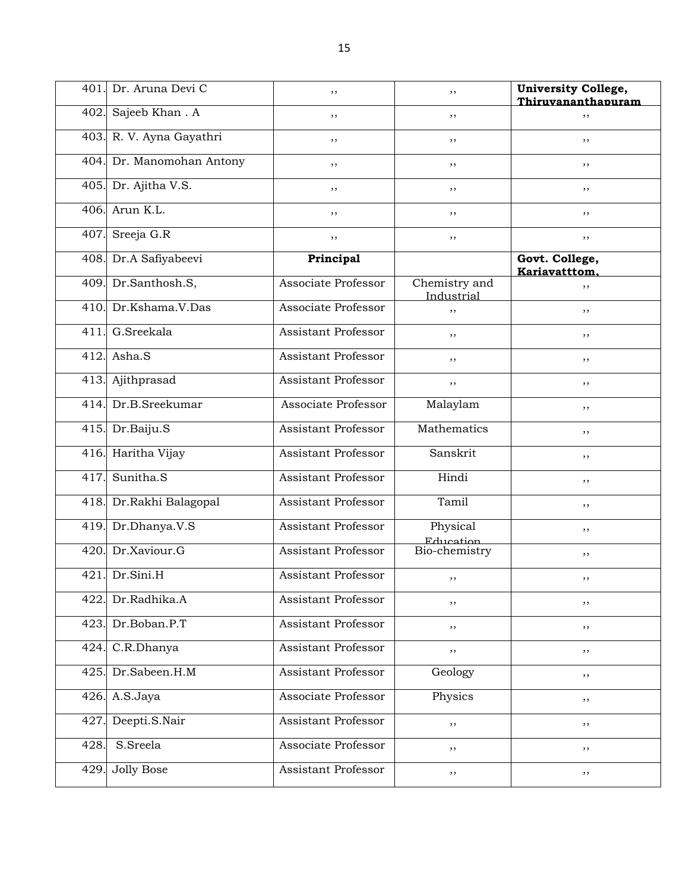| 401  | Dr. Aruna Devi C     | ,,                         | ,,                          | <b>University College,</b>      |
|------|----------------------|----------------------------|-----------------------------|---------------------------------|
|      |                      |                            |                             | Thiruvananthapuram              |
| 402. | Sajeeb Khan. A       | ,,                         | ,,                          | ,,                              |
| 403. | R. V. Ayna Gayathri  | ,,                         | ,,                          | ,,                              |
| 404. | Dr. Manomohan Antony | ,,                         | ,,                          | , ,                             |
| 405. | Dr. Ajitha V.S.      | ,,                         | ,,                          | ,,                              |
| 406. | Arun K.L.            | ,,                         | ,,                          | ,,                              |
| 407. | Sreeja G.R           | ,,                         | ,,                          | ,,                              |
| 408. | Dr.A Safiyabeevi     | Principal                  |                             | Govt. College,<br>Kariavatttom. |
| 409. | Dr.Santhosh.S,       | Associate Professor        | Chemistry and<br>Industrial | ,,                              |
| 410. | Dr.Kshama.V.Das      | Associate Professor        | ,,                          | ,,                              |
| 411  | G.Sreekala           | Assistant Professor        | ,,                          | ,,                              |
| 412. | Asha.S               | Assistant Professor        | ,,                          | ,,                              |
| 413. | Ajithprasad          | Assistant Professor        | ,,                          | ,,                              |
| 414. | Dr.B.Sreekumar       | Associate Professor        | Malaylam                    | ,,                              |
| 415. | Dr.Baiju.S           | Assistant Professor        | Mathematics                 | ,,                              |
| 416  | Haritha Vijay        | <b>Assistant Professor</b> | Sanskrit                    | ,,                              |
| 417. | Sunitha.S            | Assistant Professor        | Hindi                       | ,,                              |
| 418. | Dr.Rakhi Balagopal   | <b>Assistant Professor</b> | Tamil                       | ,,                              |
| 419. | Dr.Dhanya.V.S        | Assistant Professor        | Physical<br>Education       | , ,                             |
| 420. | Dr.Xaviour.G         | <b>Assistant Professor</b> | Bio-chemistry               | ,,                              |
| 421  | Dr.Sini.H            | <b>Assistant Professor</b> | ,,                          | ,,                              |
| 422  | Dr.Radhika.A         | Assistant Professor        | ,,                          | ,,                              |
| 423. | Dr.Boban.P.T         | Assistant Professor        | ,,                          | ,,                              |
| 424. | C.R.Dhanya           | Assistant Professor        | $, \,$                      | $, \,$                          |
| 425. | Dr.Sabeen.H.M        | <b>Assistant Professor</b> | Geology                     | $, \,$                          |
| 426. | A.S.Jaya             | Associate Professor        | Physics                     | $, \,$                          |
| 427  | Deepti.S.Nair        | Assistant Professor        | $, \, ,$                    | $, \,$                          |
| 428. | S.Sreela             | Associate Professor        | $, \,$                      | ,,                              |
| 429  | <b>Jolly Bose</b>    | Assistant Professor        | $, \,$                      | ,,                              |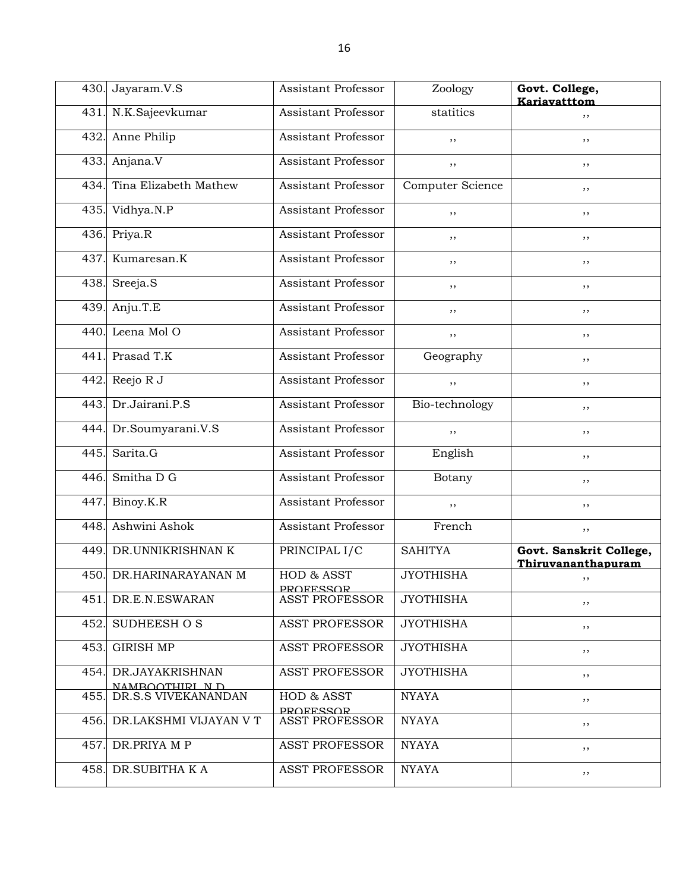|      | 430. Jayaram.V.S                       | Assistant Professor            | Zoology          | Govt. College,<br>Kariavatttom                |
|------|----------------------------------------|--------------------------------|------------------|-----------------------------------------------|
| 431. | N.K.Sajeevkumar                        | Assistant Professor            | statitics        | ,,                                            |
| 432. | Anne Philip                            | Assistant Professor            | ,,               | ,,                                            |
| 433. | Anjana.V                               | Assistant Professor            | ,,               | ,,                                            |
| 434. | Tina Elizabeth Mathew                  | Assistant Professor            | Computer Science | ,,                                            |
| 435. | Vidhya.N.P                             | Assistant Professor            | ,,               | ,,                                            |
| 436. | Priya.R                                | Assistant Professor            | ,,               | ,,                                            |
| 437. | Kumaresan.K                            | Assistant Professor            | ,,               | ,,                                            |
| 438. | Sreeja.S                               | Assistant Professor            | ,,               | ,,                                            |
| 439. | Anju.T.E                               | Assistant Professor            | ,,               | ,,                                            |
| 440. | Leena Mol O                            | Assistant Professor            | ,,               | ,,                                            |
| 441. | Prasad T.K                             | Assistant Professor            | Geography        | ,,                                            |
| 442. | Reejo R J                              | Assistant Professor            | ,,               | ,,                                            |
| 443. | Dr.Jairani.P.S                         | <b>Assistant Professor</b>     | Bio-technology   | ,,                                            |
| 444. | Dr.Soumyarani.V.S                      | Assistant Professor            | ,,               | ,,                                            |
| 445. | Sarita.G                               | Assistant Professor            | English          | ,,                                            |
| 446. | Smitha D G                             | Assistant Professor            | Botany           | ,,                                            |
| 447. | Binoy.K.R                              | Assistant Professor            | $, \,$           | ,,                                            |
| 448. | Ashwini Ashok                          | <b>Assistant Professor</b>     | French           | ,,                                            |
| 449. | DR.UNNIKRISHNAN K                      | PRINCIPAL I/C                  | <b>SAHITYA</b>   | Govt. Sanskrit College,<br>Thiruvananthapuram |
| 450. | DR.HARINARAYANAN M                     | HOD & ASST<br><b>PROFESSOR</b> | <b>JYOTHISHA</b> | ,,                                            |
| 451. | DR.E.N.ESWARAN                         | <b>ASST PROFESSOR</b>          | <b>JYOTHISHA</b> | ,,                                            |
| 452. | SUDHEESH O S                           | <b>ASST PROFESSOR</b>          | <b>JYOTHISHA</b> | ,,                                            |
| 453. | <b>GIRISH MP</b>                       | <b>ASST PROFESSOR</b>          | <b>JYOTHISHA</b> | ,,                                            |
|      | 454. DR.JAYAKRISHNAN<br>NAMROOTHIRI ND | <b>ASST PROFESSOR</b>          | <b>JYOTHISHA</b> | ,,                                            |
| 455. | DR.S.S VIVEKANANDAN                    | HOD & ASST<br><b>PROFESSOR</b> | <b>NYAYA</b>     | ,,                                            |
| 456. | DR.LAKSHMI VIJAYAN V T                 | <b>ASST PROFESSOR</b>          | <b>NYAYA</b>     | ,,                                            |
| 457. | DR.PRIYA M P                           | <b>ASST PROFESSOR</b>          | <b>NYAYA</b>     | ,,                                            |
| 458. | DR.SUBITHA K A                         | <b>ASST PROFESSOR</b>          | <b>NYAYA</b>     | $, \,$                                        |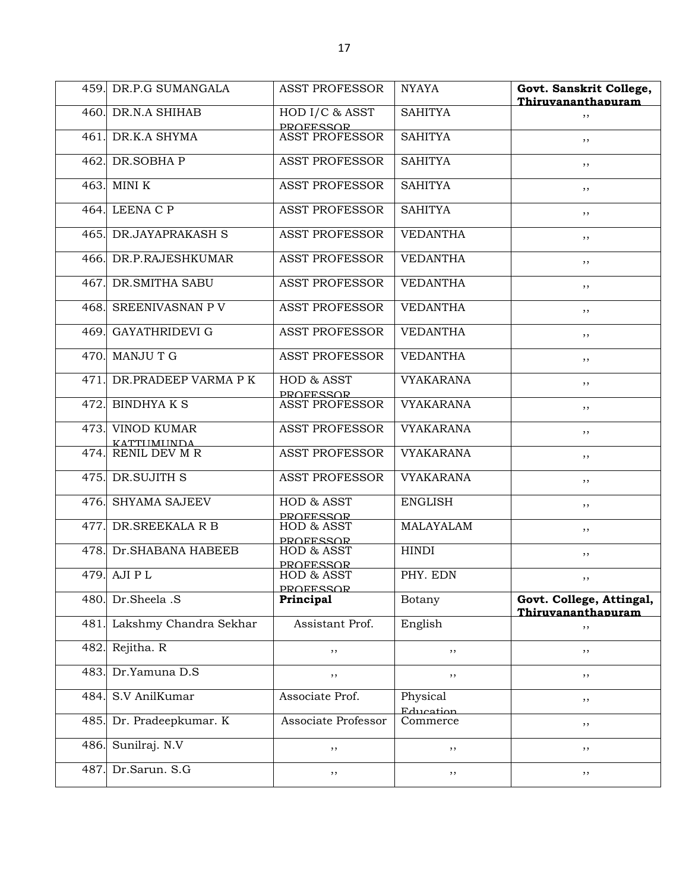|      | 459. DR.P.G SUMANGALA                   | <b>ASST PROFESSOR</b>              | <b>NYAYA</b>          | Govt. Sanskrit College,<br>Thiruvananthapuram  |
|------|-----------------------------------------|------------------------------------|-----------------------|------------------------------------------------|
|      | 460. DR.N.A SHIHAB                      | HOD I/C & ASST<br><b>PROFESSOR</b> | <b>SAHITYA</b>        | ,,                                             |
| 461. | DR.K.A SHYMA                            | <b>ASST PROFESSOR</b>              | <b>SAHITYA</b>        | , ,                                            |
| 462. | DR.SOBHAP                               | <b>ASST PROFESSOR</b>              | <b>SAHITYA</b>        | ,,                                             |
| 463. | MINI K                                  | <b>ASST PROFESSOR</b>              | <b>SAHITYA</b>        | ,,                                             |
| 464. | LEENA C P                               | <b>ASST PROFESSOR</b>              | <b>SAHITYA</b>        | ,,                                             |
|      | 465. DR.JAYAPRAKASH S                   | <b>ASST PROFESSOR</b>              | <b>VEDANTHA</b>       | ,,                                             |
|      | 466. DR.P.RAJESHKUMAR                   | <b>ASST PROFESSOR</b>              | <b>VEDANTHA</b>       | ,,                                             |
| 467. | <b>DR.SMITHA SABU</b>                   | <b>ASST PROFESSOR</b>              | <b>VEDANTHA</b>       | ,,                                             |
| 468. | SREENIVASNAN P V                        | <b>ASST PROFESSOR</b>              | <b>VEDANTHA</b>       | ,,                                             |
| 469. | <b>GAYATHRIDEVI G</b>                   | <b>ASST PROFESSOR</b>              | <b>VEDANTHA</b>       | ,,                                             |
| 470. | MANJU T G                               | <b>ASST PROFESSOR</b>              | <b>VEDANTHA</b>       | ,,                                             |
| 471. | DR.PRADEEP VARMA P K                    | HOD & ASST<br><b>PROFFSSOR</b>     | <b>VYAKARANA</b>      | ,,                                             |
| 472. | <b>BINDHYAKS</b>                        | <b>ASST PROFESSOR</b>              | <b>VYAKARANA</b>      | ,,                                             |
| 473. | <b>VINOD KUMAR</b><br><b>KATTUMUNDA</b> | <b>ASST PROFESSOR</b>              | <b>VYAKARANA</b>      | ,,                                             |
| 474. | <b>RENIL DEV M R</b>                    | <b>ASST PROFESSOR</b>              | <b>VYAKARANA</b>      | ,,                                             |
|      | 475. DR.SUJITH S                        | <b>ASST PROFESSOR</b>              | <b>VYAKARANA</b>      | ,,                                             |
| 476. | <b>SHYAMA SAJEEV</b>                    | HOD & ASST<br><b>PROFFSSOR</b>     | <b>ENGLISH</b>        | ,,                                             |
| 477. | DR.SREEKALA R B                         | HOD & ASST<br><b>PROFESSOR</b>     | <b>MALAYALAM</b>      | ,,                                             |
| 478. | Dr. SHABANA HABEEB                      | HOD & ASST<br><b>PROFESSOR</b>     | <b>HINDI</b>          | ,,                                             |
| 479. | AJI P L                                 | HOD & ASST<br><b>PROFESSOR</b>     | PHY. EDN              | , ,                                            |
| 480. | Dr.Sheela .S                            | Principal                          | Botany                | Govt. College, Attingal,<br>Thiruvananthapuram |
| 481  | Lakshmy Chandra Sekhar                  | Assistant Prof.                    | English               | ,,                                             |
| 482. | Rejitha. R                              | ,,                                 | ,,                    | ,,                                             |
| 483. | Dr.Yamuna D.S                           | ,,                                 | $, \,$                | $, \,$                                         |
| 484. | S.V AnilKumar                           | Associate Prof.                    | Physical<br>Education | $, \,$                                         |
| 485. | Dr. Pradeepkumar. K                     | Associate Professor                | Commerce              | $, \,$                                         |
| 486. | Sunilraj. N.V                           | ,,                                 | $, \,$                | ,,                                             |
| 487. | Dr.Sarun. S.G                           | , ,                                | ,,                    | ,,                                             |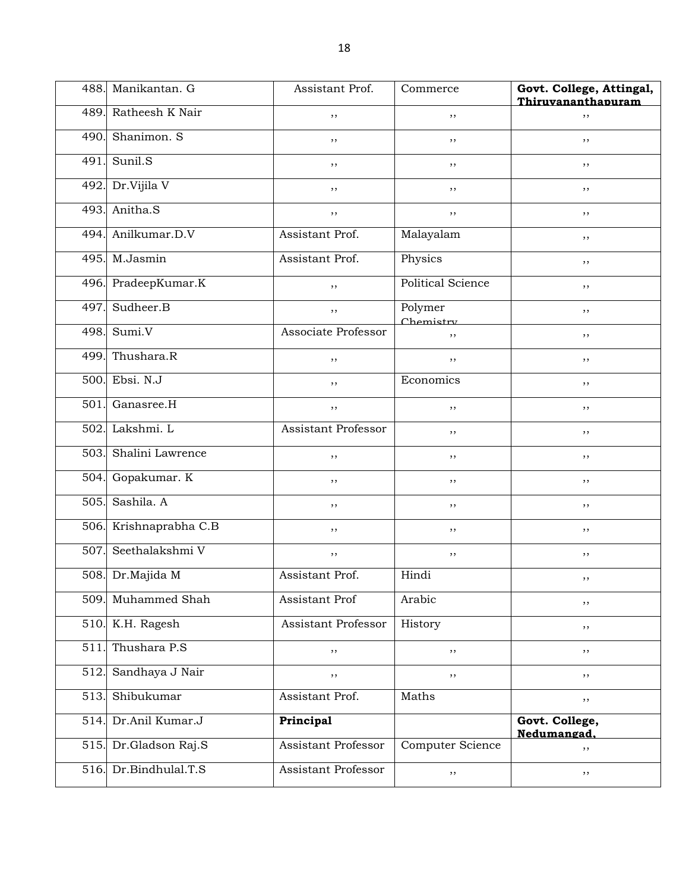| 488. | Manikantan, G          | Assistant Prof.            | Commerce                 | Govt. College, Attingal,<br>Thiruvananthapuram |
|------|------------------------|----------------------------|--------------------------|------------------------------------------------|
| 489. | Ratheesh K Nair        | ,,                         | ,,                       | ,,                                             |
| 490. | Shanimon. S            | ,,                         | ,,                       | ,,                                             |
| 491. | Sunil.S                | $, \,$                     | $, \,$                   | , ,                                            |
| 492. | Dr.Vijila V            | ,,                         | ,,                       | ,,                                             |
| 493. | Anitha.S               | ,,                         | ,,                       | ,,                                             |
| 494. | Anilkumar.D.V          | Assistant Prof.            | Malayalam                | ,,                                             |
| 495. | M.Jasmin               | Assistant Prof.            | Physics                  | ,,                                             |
| 496. | PradeepKumar.K         | $, \,$                     | <b>Political Science</b> | , ,                                            |
| 497. | Sudheer.B              | $, \,$                     | Polymer<br>Chemistry     | ,,                                             |
| 498. | Sumi.V                 | <b>Associate Professor</b> | ,,                       | ,,                                             |
| 499. | Thushara.R             | ,,                         | ,,                       | ,,                                             |
| 500. | Ebsi. N.J              | ,,                         | Economics                | ,,                                             |
| 501. | Ganasree.H             | $, \,$                     | $, \,$                   | , ,                                            |
| 502. | Lakshmi. L             | <b>Assistant Professor</b> | ,,                       | ,,                                             |
| 503. | Shalini Lawrence       | ,,                         | ,,                       | ,,                                             |
| 504. | Gopakumar. K           | ,,                         | ,,                       | ,,                                             |
| 505. | Sashila. A             | ,,                         | ,,                       | ,,                                             |
|      | 506. Krishnaprabha C.B | $, \,$                     | $, \,$                   | , ,                                            |
| 507. | Seethalakshmi V        | $, \,$                     | $, \,$                   | ,,                                             |
|      | 508. Dr.Majida M       | Assistant Prof.            | Hindi                    | $, \,$                                         |
| 509. | Muhammed Shah          | Assistant Prof             | Arabic                   | , ,                                            |
| 510. | K.H. Ragesh            | Assistant Professor        | History                  | ,,                                             |
| 511. | Thushara P.S           | ,,                         | ,,                       | $, \,$                                         |
| 512. | Sandhaya J Nair        | ,,                         | $, \,$                   | , ,                                            |
| 513. | Shibukumar             | Assistant Prof.            | Maths                    | $, \,$                                         |
| 514. | Dr.Anil Kumar.J        | Principal                  |                          | Govt. College,<br>Nedumangad.                  |
| 515. | Dr.Gladson Raj.S       | Assistant Professor        | Computer Science         | ,,                                             |
| 516. | Dr.Bindhulal.T.S       | Assistant Professor        | $, \,$                   | $, \,$                                         |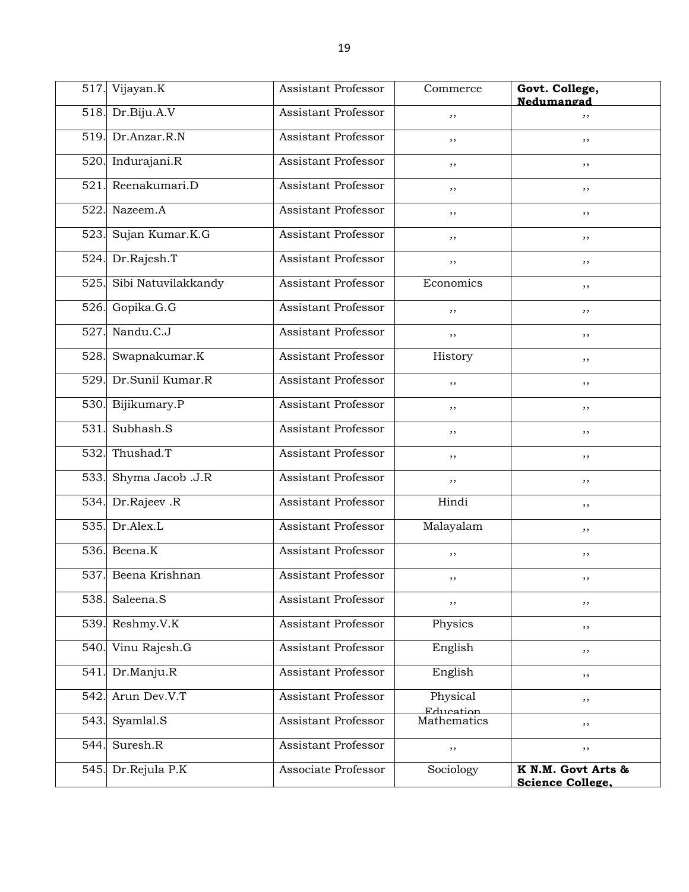| 517. | Vijayan.K           | Assistant Professor        | Commerce              | Govt. College,<br>Nedumangad                  |
|------|---------------------|----------------------------|-----------------------|-----------------------------------------------|
|      | 518. Dr.Biju.A.V    | <b>Assistant Professor</b> | ,,                    | ,,                                            |
| 519. | Dr.Anzar.R.N        | Assistant Professor        | ,,                    | ,,                                            |
| 520  | Indurajani.R        | Assistant Professor        | ,,                    | ,,                                            |
| 521  | Reenakumari.D       | Assistant Professor        | $, \,$                | ,,                                            |
| 522  | Nazeem.A            | Assistant Professor        | , ,                   | ,,                                            |
| 523. | Sujan Kumar.K.G     | Assistant Professor        | , ,                   | ,,                                            |
| 524. | Dr.Rajesh.T         | Assistant Professor        | $, \,$                | ,,                                            |
| 525. | Sibi Natuvilakkandy | Assistant Professor        | Economics             | ,,                                            |
| 526. | Gopika.G.G          | <b>Assistant Professor</b> | $, \,$                | ,,                                            |
| 527  | Nandu.C.J           | <b>Assistant Professor</b> | ,,                    | ,,                                            |
| 528. | Swapnakumar.K       | Assistant Professor        | History               | ,,                                            |
| 529. | Dr.Sunil Kumar.R    | Assistant Professor        | , ,                   | ,,                                            |
| 530. | Bijikumary.P        | <b>Assistant Professor</b> | , ,                   | ,,                                            |
| 531  | Subhash.S           | <b>Assistant Professor</b> | $, \,$                | ,,                                            |
| 532  | Thushad.T           | <b>Assistant Professor</b> | , ,                   | ,,                                            |
| 533. | Shyma Jacob .J.R    | Assistant Professor        | $, \,$                | ,,                                            |
| 534. | Dr.Rajeev.R         | <b>Assistant Professor</b> | Hindi                 | ,,                                            |
| 535. | Dr.Alex.L           | <b>Assistant Professor</b> | Malayalam             | ,,                                            |
| 536. | Beena.K             | Assistant Professor        | $, \,$                | ,,                                            |
| 537. | Beena Krishnan      | <b>Assistant Professor</b> | ,,                    | , ,                                           |
| 538. | Saleena.S           | Assistant Professor        | ,,                    | ,,                                            |
| 539  | Reshmy.V.K          | Assistant Professor        | Physics               | ,,                                            |
| 540. | Vinu Rajesh.G       | Assistant Professor        | English               | ,,                                            |
| 541. | Dr.Manju.R          | Assistant Professor        | English               | ,,                                            |
| 542  | Arun Dev.V.T        | <b>Assistant Professor</b> | Physical<br>Education | $, \,$                                        |
| 543  | Syamlal.S           | Assistant Professor        | Mathematics           | ,,                                            |
| 544. | Suresh.R            | Assistant Professor        | $, \,$                | ,,                                            |
| 545. | Dr.Rejula P.K       | Associate Professor        | Sociology             | K N.M. Govt Arts &<br><b>Science College.</b> |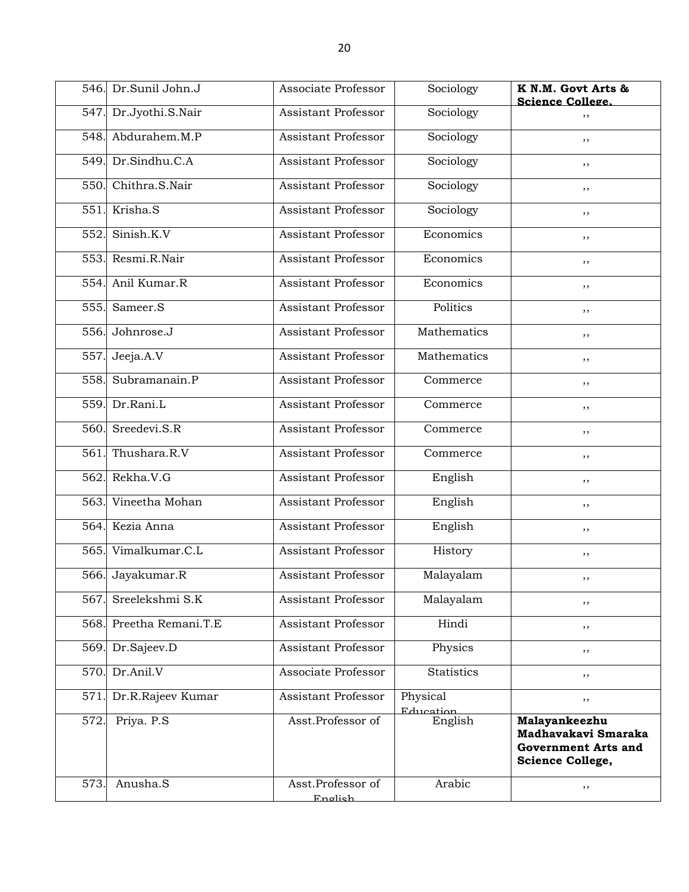|      | 546. Dr.Sunil John.J | Associate Professor          | Sociology             | K N.M. Govt Arts &<br><b>Science College.</b>                                          |
|------|----------------------|------------------------------|-----------------------|----------------------------------------------------------------------------------------|
| 547. | Dr.Jyothi.S.Nair     | <b>Assistant Professor</b>   | Sociology             | ,,                                                                                     |
| 548. | Abdurahem.M.P        | Assistant Professor          | Sociology             | ,,                                                                                     |
| 549. | Dr.Sindhu.C.A        | Assistant Professor          | Sociology             | ,,                                                                                     |
| 550. | Chithra.S.Nair       | <b>Assistant Professor</b>   | Sociology             | ,,                                                                                     |
| 551. | Krisha.S             | Assistant Professor          | Sociology             | ,,                                                                                     |
| 552. | Sinish.K.V           | Assistant Professor          | Economics             | ,,                                                                                     |
| 553. | Resmi, R. Nair       | <b>Assistant Professor</b>   | Economics             | , ,                                                                                    |
| 554. | Anil Kumar.R         | Assistant Professor          | Economics             | ,,                                                                                     |
| 555. | Sameer.S             | Assistant Professor          | Politics              | ,,                                                                                     |
| 556. | Johnrose.J           | Assistant Professor          | Mathematics           | ,,                                                                                     |
| 557. | Jeeja.A.V            | Assistant Professor          | Mathematics           | ,,                                                                                     |
| 558. | Subramanain.P        | <b>Assistant Professor</b>   | Commerce              | , ,                                                                                    |
| 559. | Dr.Rani.L            | <b>Assistant Professor</b>   | Commerce              | ,,                                                                                     |
| 560. | Sreedevi.S.R         | <b>Assistant Professor</b>   | Commerce              | ,,                                                                                     |
| 561. | Thushara.R.V         | Assistant Professor          | Commerce              | ,,                                                                                     |
| 562. | Rekha.V.G            | Assistant Professor          | English               | ,,                                                                                     |
| 563. | Vineetha Mohan       | <b>Assistant Professor</b>   | English               | , ,                                                                                    |
| 564. | Kezia Anna           | <b>Assistant Professor</b>   | English               | ,,                                                                                     |
| 565. | Vimalkumar.C.L       | Assistant Professor          | History               | ,,                                                                                     |
| 566. | Jayakumar.R          | <b>Assistant Professor</b>   | Malayalam             | ,,                                                                                     |
| 567  | Sreelekshmi S.K      | <b>Assistant Professor</b>   | Malayalam             | ,,                                                                                     |
| 568. | Preetha Remani.T.E   | <b>Assistant Professor</b>   | Hindi                 | ,,                                                                                     |
| 569. | Dr.Sajeev.D          | Assistant Professor          | Physics               | ,,                                                                                     |
| 570. | Dr.Anil.V            | Associate Professor          | <b>Statistics</b>     | ,,                                                                                     |
| 571  | Dr.R.Rajeev Kumar    | <b>Assistant Professor</b>   | Physical<br>Education | ,,                                                                                     |
| 572. | Priya. P.S           | Asst.Professor of            | English               | Malayankeezhu<br>Madhavakavi Smaraka<br><b>Government Arts and</b><br>Science College, |
| 573. | Anusha.S             | Asst.Professor of<br>English | Arabic                | ,,                                                                                     |
|      |                      |                              |                       |                                                                                        |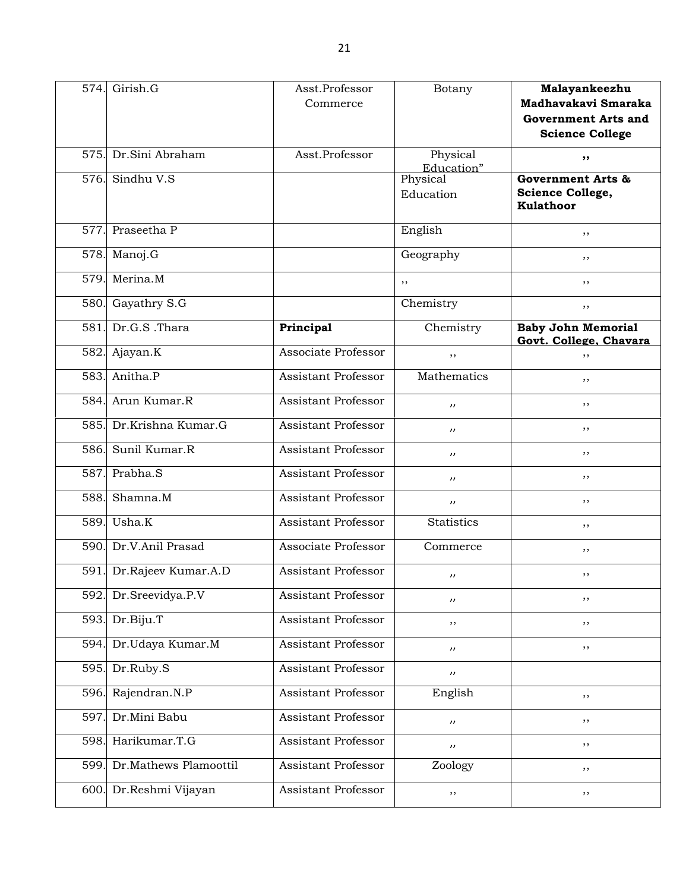|      | 574. Girish.G              | Asst.Professor             | Botany                | Malayankeezhu                |
|------|----------------------------|----------------------------|-----------------------|------------------------------|
|      |                            | Commerce                   |                       | Madhavakavi Smaraka          |
|      |                            |                            |                       | <b>Government Arts and</b>   |
|      |                            |                            |                       | <b>Science College</b>       |
| 575. | Dr.Sini Abraham            | Asst.Professor             | Physical              |                              |
|      |                            |                            | Education"            | ,,                           |
| 576. | Sindhu V.S                 |                            | Physical              | <b>Government Arts &amp;</b> |
|      |                            |                            | Education             | Science College,             |
|      |                            |                            |                       | <b>Kulathoor</b>             |
|      |                            |                            |                       |                              |
| 577. | Praseetha P                |                            | English               | ,,                           |
|      | 578. Manoj.G               |                            | Geography             | ,,                           |
| 579. | Merina.M                   |                            | ,,                    | ,,                           |
|      | 580. Gayathry S.G          |                            | Chemistry             | ,,                           |
| 581. | Dr.G.S .Thara              | Principal                  | Chemistry             | <b>Baby John Memorial</b>    |
|      |                            |                            |                       | Govt. College. Chavara       |
| 582. | Ajayan.K                   | Associate Professor        | ,,                    | ,,                           |
|      | 583. Anitha.P              | <b>Assistant Professor</b> | Mathematics           | ,,                           |
| 584. | Arun Kumar.R               | <b>Assistant Professor</b> | $^{\prime\prime}$     | ,,                           |
|      | 585. Dr.Krishna Kumar.G    | Assistant Professor        | $\mathbf{r}$          | ,,                           |
| 586. | Sunil Kumar.R              | Assistant Professor        | $^{\prime\prime}$     | ,,                           |
| 587. | Prabha.S                   | Assistant Professor        | $^{\prime\prime}$     | ,,                           |
| 588. | Shamna.M                   | Assistant Professor        | $^{\prime\prime}$     | ,,                           |
| 589. | Usha.K                     | Assistant Professor        | <b>Statistics</b>     | ,,                           |
| 590. | Dr.V.Anil Prasad           | Associate Professor        | Commerce              | ,,                           |
|      | 591. Dr.Rajeev Kumar.A.D   | <b>Assistant Professor</b> | $^{\prime\prime}$     | ,,                           |
| 592. | Dr.Sreevidya.P.V           | Assistant Professor        | $^{\prime\prime}$     | $, \,$                       |
|      | 593. Dr.Biju.T             | Assistant Professor        | ,,                    | ,,                           |
| 594. | Dr.Udaya Kumar.M           | <b>Assistant Professor</b> | $^{\prime\prime}$     | $, \,$                       |
| 595. | Dr.Ruby.S                  | Assistant Professor        | $^{\prime\prime}$     |                              |
| 596. | Rajendran.N.P              | <b>Assistant Professor</b> | English               | ,,                           |
| 597. | Dr.Mini Babu               | <b>Assistant Professor</b> | $^{\prime\prime}$     | $, \,$                       |
|      | 598. Harikumar.T.G         | Assistant Professor        | $\boldsymbol{\prime}$ | ,,                           |
|      | 599. Dr.Mathews Plamoottil | <b>Assistant Professor</b> | Zoology               | $, \,$                       |
|      | 600. Dr.Reshmi Vijayan     | Assistant Professor        | ,,                    | $, \,$                       |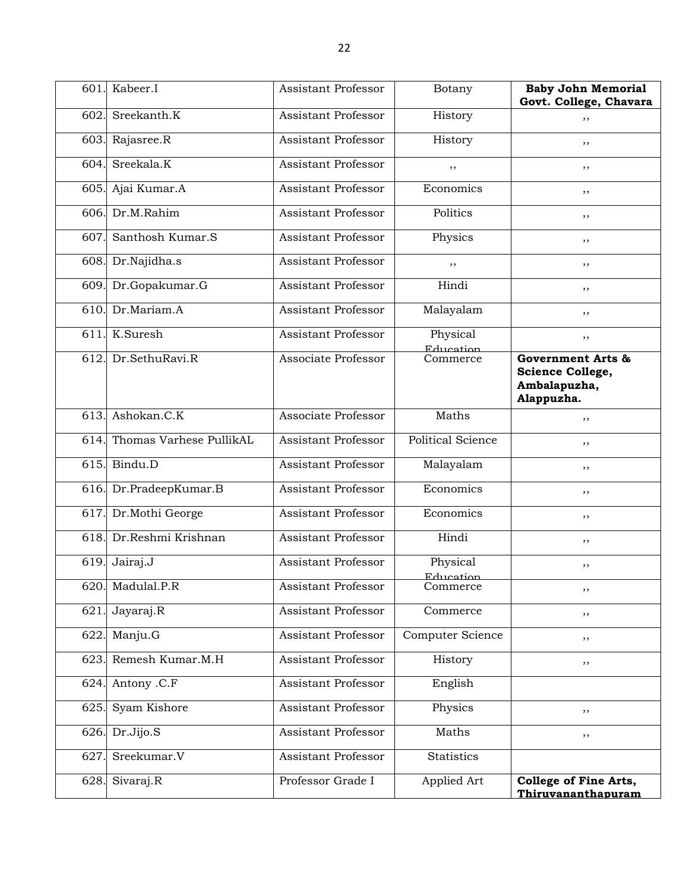| 601  | Kabeer.I                | <b>Assistant Professor</b> | Botany                       | <b>Baby John Memorial</b><br>Govt. College, Chavara                                   |
|------|-------------------------|----------------------------|------------------------------|---------------------------------------------------------------------------------------|
| 602  | Sreekanth.K             | <b>Assistant Professor</b> | History                      | ,,                                                                                    |
|      | 603. Rajasree.R         | Assistant Professor        | History                      | ,,                                                                                    |
| 604. | Sreekala.K              | <b>Assistant Professor</b> | ,,                           | ,,                                                                                    |
|      | 605. Ajai Kumar.A       | <b>Assistant Professor</b> | Economics                    | ,,                                                                                    |
| 606. | Dr.M.Rahim              | <b>Assistant Professor</b> | Politics                     | ,,                                                                                    |
| 607  | Santhosh Kumar.S        | <b>Assistant Professor</b> | Physics                      | ,,                                                                                    |
|      | 608. Dr.Najidha.s       | <b>Assistant Professor</b> | ,,                           | ,,                                                                                    |
| 609. | Dr.Gopakumar.G          | Assistant Professor        | Hindi                        | ,,                                                                                    |
| 610. | Dr.Mariam.A             | <b>Assistant Professor</b> | Malayalam                    | ,,                                                                                    |
| 611  | K.Suresh                | <b>Assistant Professor</b> | Physical                     | ,,                                                                                    |
| 612. | Dr.SethuRavi.R          | Associate Professor        | Education<br>Commerce        | <b>Government Arts &amp;</b><br><b>Science College,</b><br>Ambalapuzha,<br>Alappuzha. |
| 613. | Ashokan.C.K             | Associate Professor        | Maths                        | ,,                                                                                    |
| 614. | Thomas Varhese PullikAL | <b>Assistant Professor</b> | <b>Political Science</b>     | ,,                                                                                    |
|      | 615. Bindu.D            | Assistant Professor        | Malayalam                    | ,,                                                                                    |
| 616. | Dr.PradeepKumar.B       | <b>Assistant Professor</b> | Economics                    | ,,                                                                                    |
| 617  | Dr.Mothi George         | <b>Assistant Professor</b> | Economics                    | ,,                                                                                    |
| 618  | Dr.Reshmi Krishnan      | <b>Assistant Professor</b> | Hindi                        | ,,                                                                                    |
| 619. | Jairaj.J                | <b>Assistant Professor</b> | Physical<br><b>Education</b> | ,,                                                                                    |
|      | 620. Madulal.P.R        | Assistant Professor        | Commerce                     | ,,                                                                                    |
| 621  | Jayaraj.R               | Assistant Professor        | Commerce                     | , ,                                                                                   |
| 622  | Manju.G                 | Assistant Professor        | Computer Science             | , ,                                                                                   |
|      | 623. Remesh Kumar.M.H   | <b>Assistant Professor</b> | History                      | , ,                                                                                   |
| 624. | Antony .C.F             | <b>Assistant Professor</b> | English                      |                                                                                       |
| 625. | Syam Kishore            | <b>Assistant Professor</b> | Physics                      | ,,                                                                                    |
| 626. | Dr.Jijo.S               | Assistant Professor        | Maths                        | , ,                                                                                   |
| 627  | Sreekumar.V             | <b>Assistant Professor</b> | <b>Statistics</b>            |                                                                                       |
| 628. | Sivaraj.R               | Professor Grade I          | Applied Art                  | College of Fine Arts,<br>Thiruvananthapuram                                           |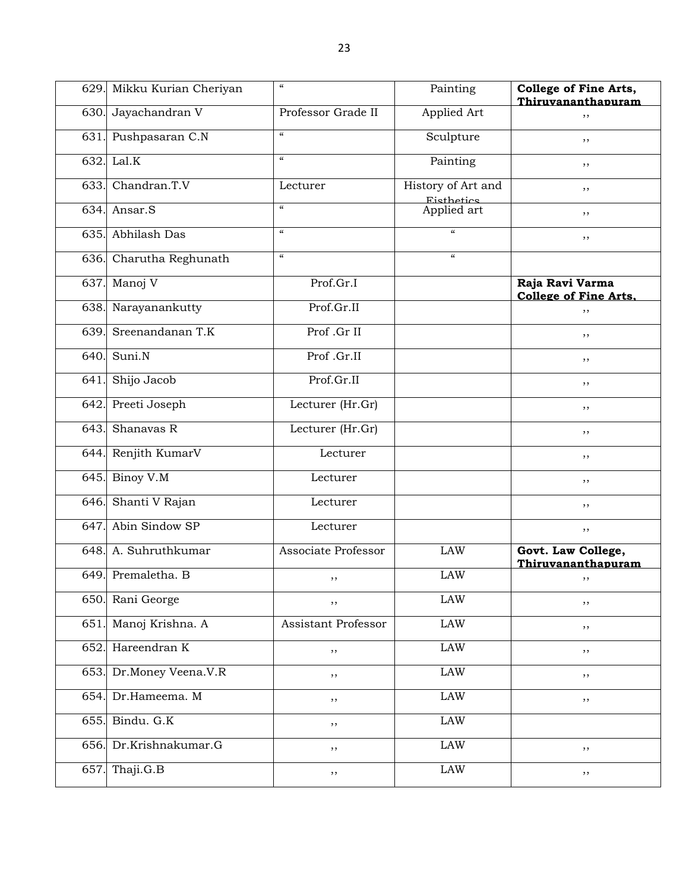|      | 629. Mikku Kurian Cheriyan | $\boldsymbol{\mathcal{U}}$ | Painting                         | <b>College of Fine Arts,</b><br>Thiruvananthapuram |
|------|----------------------------|----------------------------|----------------------------------|----------------------------------------------------|
| 630. | Jayachandran V             | Professor Grade II         | Applied Art                      | ,,                                                 |
| 631. | Pushpasaran C.N            | $\epsilon\epsilon$         | Sculpture                        | ,,                                                 |
| 632. | Lal.K                      | $\epsilon$                 | Painting                         | ,,                                                 |
| 633. | Chandran.T.V               | Lecturer                   | History of Art and               | ,,                                                 |
| 634. | Ansar.S                    | $\epsilon\epsilon$         | <b>Eisthetics</b><br>Applied art | ,,                                                 |
| 635. | Abhilash Das               | $\boldsymbol{\mathcal{U}}$ | $\alpha$                         | ,,                                                 |
| 636. | Charutha Reghunath         | $\boldsymbol{\mathcal{U}}$ | $\epsilon$                       |                                                    |
| 637. | Manoj V                    | Prof.Gr.I                  |                                  | Raja Ravi Varma<br><b>College of Fine Arts.</b>    |
| 638. | Narayanankutty             | Prof.Gr.II                 |                                  | ,,                                                 |
| 639. | Sreenandanan T.K           | Prof .Gr II                |                                  | ,,                                                 |
| 640. | Suni.N                     | Prof.Gr.II                 |                                  | ,,                                                 |
| 641. | Shijo Jacob                | Prof.Gr.II                 |                                  | ,,                                                 |
| 642. | Preeti Joseph              | Lecturer (Hr.Gr)           |                                  | ,,                                                 |
| 643. | Shanavas $\overline{R}$    | Lecturer (Hr.Gr)           |                                  | ,,                                                 |
| 644. | Renjith KumarV             | Lecturer                   |                                  | ,,                                                 |
| 645. | Binoy V.M                  | Lecturer                   |                                  | ,,                                                 |
| 646. | Shanti V Rajan             | Lecturer                   |                                  | ,,                                                 |
| 647. | Abin Sindow SP             | Lecturer                   |                                  | $, \,$                                             |
| 648. | A. Suhruthkumar            | Associate Professor        | <b>LAW</b>                       | Govt. Law College,<br>Thiruvananthapuram           |
| 649. | Premaletha. B              | $, \,$                     | <b>LAW</b>                       | ,,                                                 |
| 650. | Rani George                | , ,                        | LAW                              | , ,                                                |
| 651  | Manoj Krishna. A           | Assistant Professor        | $\rm LAW$                        | $, \, ,$                                           |
| 652. | Hareendran K               | ,,                         | $\rm LAW$                        | $, \,$                                             |
| 653. | Dr.Money Veena.V.R         | , ,                        | <b>LAW</b>                       | $, \,$                                             |
| 654. | Dr.Hameema. M              | , ,                        | $\rm LAW$                        | $, \,$                                             |
| 655. | Bindu. G.K                 | ,,                         | $\rm LAW$                        |                                                    |
| 656. | Dr.Krishnakumar.G          | , ,                        | $\rm LAW$                        | $, \,$                                             |
| 657. | Thaji.G.B                  | $, \,$                     | LAW                              | ,,                                                 |